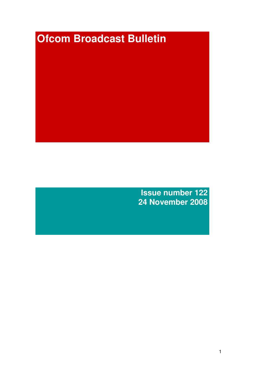# **Ofcom Broadcast Bulletin**

**Issue number 122 24 November 2008**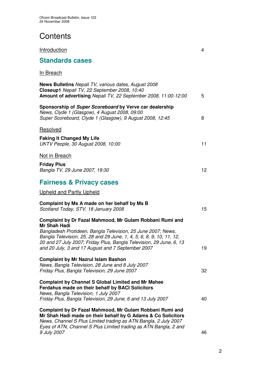# **Contents**

| <b>Standards cases</b>                                                                                                                                                                                                                                                                                                                       |    |
|----------------------------------------------------------------------------------------------------------------------------------------------------------------------------------------------------------------------------------------------------------------------------------------------------------------------------------------------|----|
| In Breach                                                                                                                                                                                                                                                                                                                                    |    |
| <b>News Bulletins</b> Nepali TV, various dates, August 2008<br>Closeup1 Nepali TV, 22 September 2008, 10:40<br>Amount of advertising Nepali TV, 22 September 2008, 11:00-12:00                                                                                                                                                               | 5  |
| Sponsorship of Super Scoreboard by Verve car dealership<br>News, Clyde 1 (Glasgow), 4 August 2008, 09:00<br>Super Scoreboard, Clyde 1 (Glasgow), 9 August 2008, 12:45                                                                                                                                                                        | 8  |
| Resolved                                                                                                                                                                                                                                                                                                                                     |    |
| <b>Faking It Changed My Life</b><br>UKTV People, 30 August 2008, 10:00                                                                                                                                                                                                                                                                       | 11 |
| Not in Breach                                                                                                                                                                                                                                                                                                                                |    |
| <b>Friday Plus</b><br>Bangla TV, 29 June 2007, 19:30                                                                                                                                                                                                                                                                                         | 12 |
| <b>Fairness &amp; Privacy cases</b>                                                                                                                                                                                                                                                                                                          |    |
| <b>Upheld and Partly Upheld</b>                                                                                                                                                                                                                                                                                                              |    |
| Complaint by Ms A made on her behalf by Ms B<br>Scotland Today, STV, 18 January 2008                                                                                                                                                                                                                                                         | 15 |
| Complaint by Dr Fazal Mahmood, Mr Gulam Robbani Rumi and<br>Mr Shah Hadi<br>Bangladesh Protideen, Bangla Television, 25 June 2007; News,<br>Bangla Television, 25, 28 and 29 June, 1, 4, 5, 6, 8, 9, 10, 11, 12,<br>20 and 27 July 2007; Friday Plus, Bangla Television, 29 June, 6, 13<br>and 20 July, 3 and 17 August and 7 September 2007 | 19 |
| <b>Complaint by Mr Nazrul Islam Bashon</b><br>News, Bangla Television, 28 June and 8 July 2007<br>Friday Plus, Bangla Television, 29 June 2007                                                                                                                                                                                               | 32 |
| <b>Complaint by Channel S Global Limited and Mr Mahee</b><br>Ferdahus made on their behalf by BACI Solicitors<br>News, Bangla Television, 1 July 2007<br>Friday Plus, Bangla Television, 29 June, 6 and 13 July 2007                                                                                                                         | 40 |
| Complaint by Dr Fazal Mahmood, Mr Gulam Robbani Rumi and<br>Mr Shah Hadi made on their behalf by G Adams & Co Solicitors<br>News, Channel S Plus Limited trading as ATN Bangla, 2 July 2007<br>Eyes of ATN, Channel S Plus Limited trading as ATN Bangla, 2 and<br>9 July 2007                                                               | 46 |

**Introduction** 4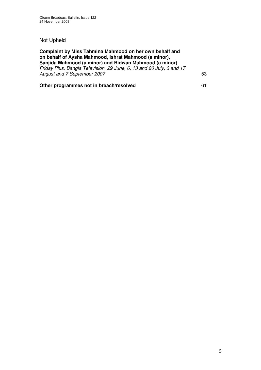# Not Upheld

| Complaint by Miss Tahmina Mahmood on her own behalf and<br>on behalf of Aysha Mahmood, Ishrat Mahmood (a minor),<br>Sanjida Mahmood (a minor) and Ridwan Mahmood (a minor)<br>Friday Plus, Bangla Television, 29 June, 6, 13 and 20 July, 3 and 17<br>August and 7 September 2007 |    |  |
|-----------------------------------------------------------------------------------------------------------------------------------------------------------------------------------------------------------------------------------------------------------------------------------|----|--|
| Other programmes not in breach/resolved                                                                                                                                                                                                                                           | 61 |  |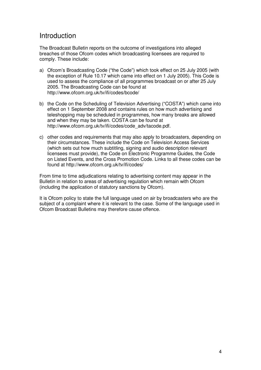# **Introduction**

The Broadcast Bulletin reports on the outcome of investigations into alleged breaches of those Ofcom codes which broadcasting licensees are required to comply. These include:

- a) Ofcom's Broadcasting Code ("the Code") which took effect on 25 July 2005 (with the exception of Rule 10.17 which came into effect on 1 July 2005). This Code is used to assess the compliance of all programmes broadcast on or after 25 July 2005. The Broadcasting Code can be found at http://www.ofcom.org.uk/tv/ifi/codes/bcode/
- b) the Code on the Scheduling of Television Advertising ("COSTA") which came into effect on 1 September 2008 and contains rules on how much advertising and teleshopping may be scheduled in programmes, how many breaks are allowed and when they may be taken. COSTA can be found at http://www.ofcom.org.uk/tv/ifi/codes/code\_adv/tacode.pdf.
- c) other codes and requirements that may also apply to broadcasters, depending on their circumstances. These include the Code on Television Access Services (which sets out how much subtitling, signing and audio description relevant licensees must provide), the Code on Electronic Programme Guides, the Code on Listed Events, and the Cross Promotion Code. Links to all these codes can be found at http://www.ofcom.org.uk/tv/ifi/codes/

From time to time adjudications relating to advertising content may appear in the Bulletin in relation to areas of advertising regulation which remain with Ofcom (including the application of statutory sanctions by Ofcom).

It is Ofcom policy to state the full language used on air by broadcasters who are the subject of a complaint where it is relevant to the case. Some of the language used in Ofcom Broadcast Bulletins may therefore cause offence.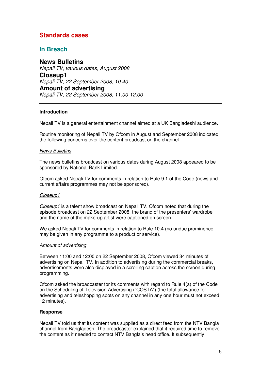# **Standards cases**

# **In Breach**

**News Bulletins** *Nepali TV, various dates, August 2008* **Closeup1** *Nepali TV, 22 September 2008, 10:40* **Amount of advertising** *Nepali TV, 22 September 2008, 11:00-12:00*

# **Introduction**

Nepali TV is a general entertainment channel aimed at a UK Bangladeshi audience.

Routine monitoring of Nepali TV by Ofcom in August and September 2008 indicated the following concerns over the content broadcast on the channel:

#### *News Bulletins*

The news bulletins broadcast on various dates during August 2008 appeared to be sponsored by National Bank Limited.

Ofcom asked Nepali TV for comments in relation to Rule 9.1 of the Code (news and current affairs programmes may not be sponsored).

# *Closeup1*

*Closeup1* is a talent show broadcast on Nepali TV. Ofcom noted that during the episode broadcast on 22 September 2008, the brand of the presenters' wardrobe and the name of the make-up artist were captioned on screen.

We asked Nepali TV for comments in relation to Rule 10.4 (no undue prominence may be given in any programme to a product or service).

#### *Amount of advertising*

Between 11:00 and 12:00 on 22 September 2008, Ofcom viewed 34 minutes of advertising on Nepali TV. In addition to advertising during the commercial breaks, advertisements were also displayed in a scrolling caption across the screen during programming.

Ofcom asked the broadcaster for its comments with regard to Rule 4(a) of the Code on the Scheduling of Television Advertising ("COSTA") (the total allowance for advertising and teleshopping spots on any channel in any one hour must not exceed 12 minutes).

# **Response**

Nepali TV told us that its content was supplied as a direct feed from the NTV Bangla channel from Bangladesh. The broadcaster explained that it required time to remove the content as it needed to contact NTV Bangla's head office. It subsequently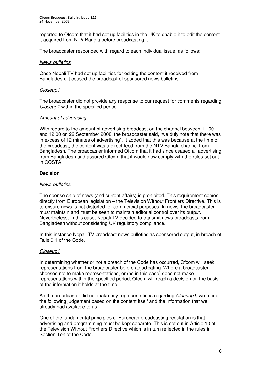reported to Ofcom that it had set up facilities in the UK to enable it to edit the content it acquired from NTV Bangla before broadcasting it.

The broadcaster responded with regard to each individual issue, as follows:

#### *News bulletins*

Once Nepali TV had set up facilities for editing the content it received from Bangladesh, it ceased the broadcast of sponsored news bulletins.

#### *Closeup1*

The broadcaster did not provide any response to our request for comments regarding *Closeup1* within the specified period.

#### *Amount of advertising*

With regard to the amount of advertising broadcast on the channel between 11:00 and 12:00 on 22 September 2008, the broadcaster said, "we duly note that there was in excess of 12 minutes of advertising"*.* It added that this was because at the time of the broadcast, the content was a direct feed from the NTV Bangla channel from Bangladesh. The broadcaster informed Ofcom that it had since ceased all advertising from Bangladesh and assured Ofcom that it would now comply with the rules set out in COSTA.

#### **Decision**

#### *News bulletins*

The sponsorship of news (and current affairs) is prohibited. This requirement comes directly from European legislation – the Television Without Frontiers Directive. This is to ensure news is not distorted for commercial purposes. In news, the broadcaster must maintain and must be seen to maintain editorial control over its output. Nevertheless, in this case, Nepali TV decided to transmit news broadcasts from Bangladesh without considering UK regulatory compliance.

In this instance Nepali TV broadcast news bulletins as sponsored output, in breach of Rule 9.1 of the Code.

# *Closeup1*

In determining whether or not a breach of the Code has occurred, Ofcom will seek representations from the broadcaster before adjudicating. Where a broadcaster chooses not to make representations, or (as in this case) does not make representations within the specified period, Ofcom will reach a decision on the basis of the information it holds at the time.

As the broadcaster did not make any representations regarding *Closeup1*, we made the following judgement based on the content itself and the information that we already had available to us.

One of the fundamental principles of European broadcasting regulation is that advertising and programming must be kept separate. This is set out in Article 10 of the Television Without Frontiers Directive which is in turn reflected in the rules in Section Ten of the Code.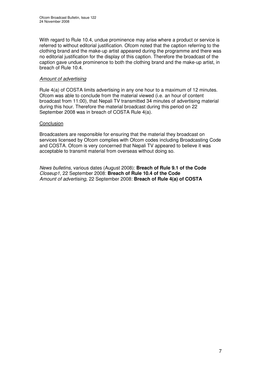With regard to Rule 10.4, undue prominence may arise where a product or service is referred to without editorial justification. Ofcom noted that the caption referring to the clothing brand and the make-up artist appeared during the programme and there was no editorial justification for the display of this caption. Therefore the broadcast of the caption gave undue prominence to both the clothing brand and the make-up artist, in breach of Rule 10.4.

# *Amount of advertising*

Rule 4(a) of COSTA limits advertising in any one hour to a maximum of 12 minutes. Ofcom was able to conclude from the material viewed (i.e. an hour of content broadcast from 11:00), that Nepali TV transmitted 34 minutes of advertising material during this hour. Therefore the material broadcast during this period on 22 September 2008 was in breach of COSTA Rule 4(a).

# **Conclusion**

Broadcasters are responsible for ensuring that the material they broadcast on services licensed by Ofcom complies with Ofcom codes including Broadcasting Code and COSTA. Ofcom is very concerned that Nepali TV appeared to believe it was acceptable to transmit material from overseas without doing so.

*News bulletins*, various dates (August 2008): **Breach of Rule 9.1 of the Code** *Closeup1*, 22 September 2008: **Breach of Rule 10.4 of the Code** *Amount of advertising,* 22 September 2008: **Breach of Rule 4(a) of COSTA**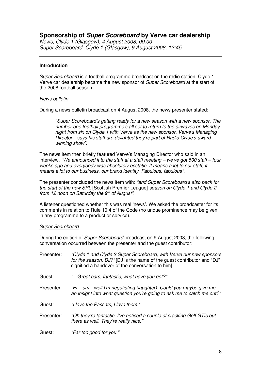# **Sponsorship of** *Super Scoreboard* **by Verve car dealership**

*News, Clyde 1 (Glasgow), 4 August 2008, 09:00 Super Scoreboard, Clyde 1 (Glasgow), 9 August 2008, 12:45*

#### **Introduction**

*Super Scoreboard* is a football programme broadcast on the radio station, Clyde 1. Verve car dealership became the new sponsor of *Super Scoreboard* at the start of the 2008 football season.

#### *News bulletin*

During a news bulletin broadcast on 4 August 2008, the news presenter stated:

*"Super Scoreboard's getting ready for a new season with a new sponsor. The number one football programme's all set to return to the airwaves on Monday night from six on Clyde 1 with Verve as the new sponsor. Verve's Managing Director…says his staff are delighted they're part of Radio Clyde's awardwinning show".*

The news item then briefly featured Verve's Managing Director who said in an interview, *"We announced it to the staff at a staff meeting – we've got 500 staff – four weeks ago and everybody was absolutely ecstatic. It means a lot to our staff, it means a lot to our business, our brand identity. Fabulous, fabulous".*

The presenter concluded the news item with: *"and Super Scoreboard's also back for the start of the new SPL* [Scottish Premier League] *season on Clyde 1 and Clyde 2 from 12 noon on Saturday the 9 th of August".*

A listener questioned whether this was real 'news'. We asked the broadcaster for its comments in relation to Rule 10.4 of the Code (no undue prominence may be given in any programme to a product or service).

#### *Super Scoreboard*

During the edition of *Super Scoreboard* broadcast on 9 August 2008, the following conversation occurred between the presenter and the guest contributor:

| Presenter: | "Clyde 1 and Clyde 2 Super Scoreboard, with Verve our new sponsors<br>for the season. DJ?" [DJ is the name of the guest contributor and "DJ"<br>signified a handover of the conversation to him] |
|------------|--------------------------------------------------------------------------------------------------------------------------------------------------------------------------------------------------|
| Guest:     | "Great cars, fantastic, what have you got?"                                                                                                                                                      |
| Presenter: | "Erumwell I'm negotiating (laughter). Could you maybe give me<br>an insight into what question you're going to ask me to catch me out?"                                                          |
| Guest:     | "I love the Passats, I love them."                                                                                                                                                               |
| Presenter: | "Oh they're fantastic. I've noticed a couple of cracking Golf GTIs out<br>there as well. They're really nice."                                                                                   |
| Guest:     | "Far too good for you."                                                                                                                                                                          |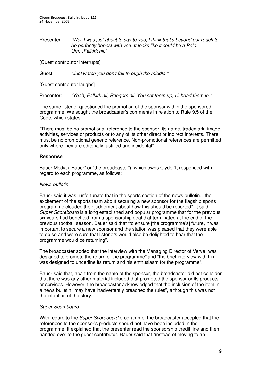Presenter: *"Well I was just about to say to you, I think that's beyond our reach to be perfectly honest with you. It looks like it could be a Polo. Um…Falkirk nil."*

[Guest contributor interrupts]

Guest: *"Just watch you don't fall through the middle."*

[Guest contributor laughs]

Presenter: *"Yeah, Falkirk nil, Rangers nil. You set them up, I'll head them in."*

The same listener questioned the promotion of the sponsor within the sponsored programme. We sought the broadcaster's comments in relation to Rule 9.5 of the Code, which states:

"There must be no promotional reference to the sponsor, its name, trademark, image, activities, services or products or to any of its other direct or indirect interests. There must be no promotional generic reference. Non-promotional references are permitted only where they are editorially justified and incidental".

# **Response**

Bauer Media ("Bauer" or "the broadcaster"), which owns Clyde 1, responded with regard to each programme, as follows:

#### *News bulletin*

Bauer said it was "unfortunate that in the sports section of the news bulletin…the excitement of the sports team about securing a new sponsor for the flagship sports programme clouded their judgement about how this should be reported". It said *Super Scoreboard* is a long established and popular programme that for the previous six years had benefited from a sponsorship deal that terminated at the end of the previous football season. Bauer said that "to ensure [the programme's] future, it was important to secure a new sponsor and the station was pleased that they were able to do so and were sure that listeners would also be delighted to hear that the programme would be returning".

The broadcaster added that the interview with the Managing Director of Verve "was designed to promote the return of the programme" and "the brief interview with him was designed to underline its return and his enthusiasm for the programme".

Bauer said that, apart from the name of the sponsor, the broadcaster did not consider that there was any other material included that promoted the sponsor or its products or services. However, the broadcaster acknowledged that the inclusion of the item in a news bulletin "may have inadvertently breached the rules", although this was not the intention of the story.

#### *Super Scoreboard*

With regard to the *Super Scoreboard* programme, the broadcaster accepted that the references to the sponsor's products should not have been included in the programme. It explained that the presenter read the sponsorship credit line and then handed over to the guest contributor. Bauer said that "instead of moving to an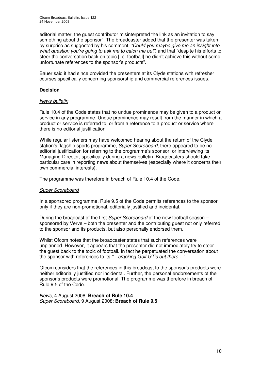editorial matter, the guest contributor misinterpreted the link as an invitation to say something about the sponsor". The broadcaster added that the presenter was taken by surprise as suggested by his comment, *"Could you maybe give me an insight into what question you're going to ask me to catch me out",* and that "despite his efforts to steer the conversation back on topic [i.e. football] he didn't achieve this without some unfortunate references to the sponsor's products".

Bauer said it had since provided the presenters at its Clyde stations with refresher courses specifically concerning sponsorship and commercial references issues.

# **Decision**

# *News bulletin*

Rule 10.4 of the Code states that no undue prominence may be given to a product or service in any programme. Undue prominence may result from the manner in which a product or service is referred to, or from a reference to a product or service where there is no editorial justification.

While regular listeners may have welcomed hearing about the return of the Clyde station's flagship sports programme, *Super Scoreboard*, there appeared to be no editorial justification for referring to the programme's sponsor, or interviewing its Managing Director, specifically during a news bulletin. Broadcasters should take particular care in reporting news about themselves (especially where it concerns their own commercial interests).

The programme was therefore in breach of Rule 10.4 of the Code.

# *Super Scoreboard*

In a sponsored programme, Rule 9.5 of the Code permits references to the sponsor only if they are non-promotional, editorially justified and incidental.

During the broadcast of the first *Super Scoreboard* of the new football season – sponsored by Verve – both the presenter and the contributing guest not only referred to the sponsor and its products, but also personally endorsed them.

Whilst Ofcom notes that the broadcaster states that such references were unplanned. However, it appears that the presenter did not immediately try to steer the guest back to the topic of football. In fact he perpetuated the conversation about the sponsor with references to its *"…cracking Golf GTis out there…".*

Ofcom considers that the references in this broadcast to the sponsor's products were neither editorially justified nor incidental. Further, the personal endorsements of the sponsor's products were promotional. The programme was therefore in breach of Rule 9.5 of the Code.

# *News*, 4 August 2008: **Breach of Rule 10.4** *Super Scoreboard*, 9 August 2008: **Breach of Rule 9.5**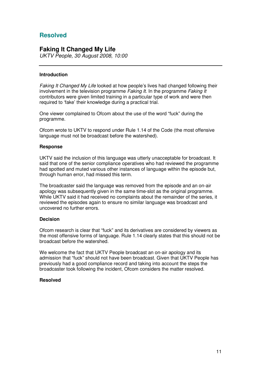# **Resolved**

# **Faking It Changed My Life**

*UKTV People, 30 August 2008, 10:00*

# **Introduction**

*Faking It Changed My Life* looked at how people's lives had changed following their involvement in the television programme *Faking It*. In the programme *Faking It* contributors were given limited training in a particular type of work and were then required to 'fake' their knowledge during a practical trial.

One viewer complained to Ofcom about the use of the word "fuck" during the programme.

Ofcom wrote to UKTV to respond under Rule 1.14 of the Code (the most offensive language must not be broadcast before the watershed).

#### **Response**

UKTV said the inclusion of this language was utterly unacceptable for broadcast. It said that one of the senior compliance operatives who had reviewed the programme had spotted and muted various other instances of language within the episode but, through human error, had missed this term.

The broadcaster said the language was removed from the episode and an on-air apology was subsequently given in the same time-slot as the original programme. While UKTV said it had received no complaints about the remainder of the series, it reviewed the episodes again to ensure no similar language was broadcast and uncovered no further errors.

# **Decision**

Ofcom research is clear that "fuck" and its derivatives are considered by viewers as the most offensive forms of language. Rule 1.14 clearly states that this should not be broadcast before the watershed.

We welcome the fact that UKTV People broadcast an on-air apology and its admission that "fuck" should not have been broadcast. Given that UKTV People has previously had a good compliance record and taking into account the steps the broadcaster took following the incident, Ofcom considers the matter resolved.

# **Resolved**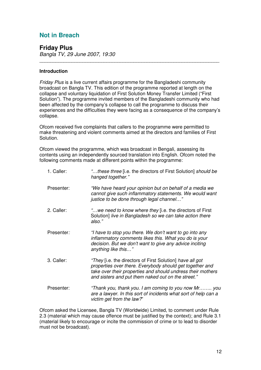# **Not in Breach**

**Friday Plus** *Bangla TV, 29 June 2007, 19:30*

# **Introduction**

*Friday Plus* is a live current affairs programme for the Bangladeshi community broadcast on Bangla TV. This edition of the programme reported at length on the collapse and voluntary liquidation of First Solution Money Transfer Limited ("First Solution"). The programme invited members of the Bangladeshi community who had been affected by the company's collapse to call the programme to discuss their experiences and the difficulties they were facing as a consequence of the company's collapse.

\_\_\_\_\_\_\_\_\_\_\_\_\_\_\_\_\_\_\_\_\_\_\_\_\_\_\_\_\_\_\_\_\_\_\_\_\_\_\_\_\_\_\_\_\_\_\_\_\_\_\_\_\_\_\_\_\_\_\_\_\_\_\_\_\_\_\_

Ofcom received five complaints that callers to the programme were permitted to make threatening and violent comments aimed at the directors and families of First Solution.

Ofcom viewed the programme, which was broadcast in Bengali, assessing its contents using an independently sourced translation into English. Ofcom noted the following comments made at different points within the programme:

| 1. Caller: | "these three [i.e. the directors of First Solution] should be<br>hanged together."                                                                                                                                                         |
|------------|--------------------------------------------------------------------------------------------------------------------------------------------------------------------------------------------------------------------------------------------|
| Presenter: | "We have heard your opinion but on behalf of a media we<br>cannot give such inflammatory statements. We would want<br>justice to be done through legal channel"                                                                            |
| 2. Caller: | "we need to know where they [i.e. the directors of First<br>Solution] live in Bangladesh so we can take action there<br>also."                                                                                                             |
| Presenter: | "I have to stop you there. We don't want to go into any<br>inflammatory comments likes this. What you do is your<br>decision. But we don't want to give any advice inciting<br>anything like this"                                         |
| 3. Caller: | "They [i.e. the directors of First Solution] have all got<br>properties over there. Everybody should get together and<br>take over their properties and should undress their mothers<br>and sisters and put them naked out on the street." |
| Presenter: | "Thank you, thank you. I am coming to you now Mr you<br>are a lawyer. In this sort of incidents what sort of help can a<br>victim get from the law?"                                                                                       |

Ofcom asked the Licensee, Bangla TV (Worldwide) Limited, to comment under Rule 2.3 (material which may cause offence must be justified by the context); and Rule 3.1 (material likely to encourage or incite the commission of crime or to lead to disorder must not be broadcast).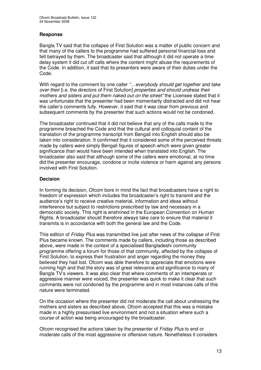# **Response**

Bangla TV said that the collapse of First Solution was a matter of public concern and that many of the callers to the programme had suffered personal financial loss and felt betrayed by them. The broadcaster said that although it did not operate a time delay system it did cut off calls where the content might abuse the requirements of the Code. In addition, it said that its presenters were aware of their duties under the Code.

With regard to the comment by one caller *"…everybody should get together and take over their* [i.e. the directors of First Solution] *properties and should undress their mothers and sisters and put them naked out on the street"* the Licensee stated that it was unfortunate that the presenter had been momentarily distracted and did not hear the caller's comments fully. However, it said that it was clear from previous and subsequent comments by the presenter that such actions would not be condoned.

The broadcaster continued that it did not believe that any of the calls made to the programme breached the Code and that the cultural and colloquial content of the translation of the programme transcript from Bengali into English should also be taken into consideration. It confirmed that it considered some of the perceived threats made by callers were simply Bengali figures of speech which were given greater significance than would have been intended when translated into English. The broadcaster also said that although some of the callers were emotional, at no time did the presenter encourage, condone or incite violence or harm against any persons involved with First Solution.

# **Decision**

In forming its decision, Ofcom bore in mind the fact that broadcasters have a right to freedom of expression which includes the broadcaster's right to transmit and the audience's right to receive creative material, information and ideas without interference but subject to restrictions prescribed by law and necessary in a democratic society. This right is enshrined in the European Convention on Human Rights. A broadcaster should therefore always take care to ensure that material it transmits is in accordance with both the general law and the Code.

This edition of *Friday Plus* was transmitted live just after news of the collapse of First Plus became known. The comments made by callers, including those as described above, were made in the context of a specialised Bangladeshi community programme offering a forum for those of that community, affected by the collapse of First Solution, to express their frustration and anger regarding the money they believed they had lost. Ofcom was able therefore to appreciate that emotions were running high and that the story was of great relevance and significance to many of Bangla TV's viewers. It was also clear that where comments of an intemperate or aggressive manner were voiced, the presenter was quick to make it clear that such comments were not condoned by the programme and in most instances calls of this nature were terminated.

On the occasion where the presenter did not moderate the call about undressing the mothers and sisters as described above, Ofcom accepted that this was a mistake made in a highly pressurised live environment and not a situation where such a course of action was being encouraged by the broadcaster.

Ofcom recognised the actions taken by the presenter of *Friday Plus* to end or moderate calls of the most aggressive or offensive nature. Nonetheless it considers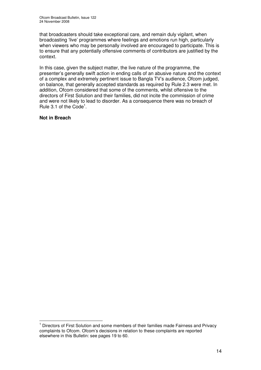that broadcasters should take exceptional care, and remain duly vigilant, when broadcasting 'live' programmes where feelings and emotions run high, particularly when viewers who may be personally involved are encouraged to participate. This is to ensure that any potentially offensive comments of contributors are justified by the context.

In this case, given the subject matter, the live nature of the programme, the presenter's generally swift action in ending calls of an abusive nature and the context of a complex and extremely pertinent issue to Bangla TV's audience, Ofcom judged, on balance, that generally accepted standards as required by Rule 2.3 were met. In addition, Ofcom considered that some of the comments, whilst offensive to the directors of First Solution and their families, did not incite the commission of crime and were not likely to lead to disorder. As a consequence there was no breach of Rule 3.1 of the Code<sup>1</sup>.

# **Not in Breach**

<sup>1</sup> Directors of First Solution and some members of their families made Fairness and Privacy complaints to Ofcom. Ofcom's decisions in relation to these complaints are reported elsewhere in this Bulletin: see pages 19 to 60.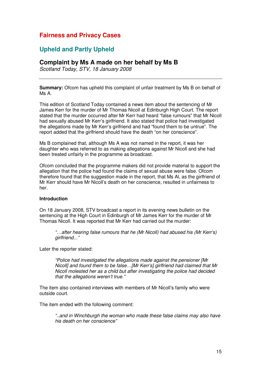# **Fairness and Privacy Cases**

# **Upheld and Partly Upheld**

# **Complaint by Ms A made on her behalf by Ms B**

*Scotland Today, STV, 18 January 2008*

**Summary:** Ofcom has upheld this complaint of unfair treatment by Ms B on behalf of Ms A.

This edition of Scotland Today contained a news item about the sentencing of Mr James Kerr for the murder of Mr Thomas Nicoll at Edinburgh High Court. The report stated that the murder occurred after Mr Kerr had heard "false rumours" that Mr Nicoll had sexually abused Mr Kerr's girlfriend. It also stated that police had investigated the allegations made by Mr Kerr's girlfriend and had "found them to be untrue". The report added that the girlfriend should have the death "on her conscience".

Ms B complained that, although Ms A was not named in the report, it was her daughter who was referred to as making allegations against Mr Nicoll and she had been treated unfairly in the programme as broadcast.

Ofcom concluded that the programme makers did not provide material to support the allegation that the police had found the claims of sexual abuse were false. Ofcom therefore found that the suggestion made in the report, that Ms Al, as the girlfriend of Mr Kerr should have Mr Nicoll's death on her conscience, resulted in unfairness to her.

# **Introduction**

On 18 January 2008, STV broadcast a report in its evening news bulletin on the sentencing at the High Court in Edinburgh of Mr James Kerr for the murder of Mr Thomas Nicoll. It was reported that Mr Kerr had carried out the murder:

*"…after hearing false rumours that he (Mr Nicoll) had abused his (Mr Kerr's) girlfriend..."*

Later the reporter stated:

*"Police had investigated the allegations made against the pensioner [Mr Nicoll] and found them to be false…[Mr Kerr's] girlfriend had claimed that Mr Nicoll molested her as a child but after investigating the police had decided that the allegations weren't true."*

The item also contained interviews with members of Mr Nicoll's family who were outside court.

The item ended with the following comment:

*"..and in Winchburgh the woman who made these false claims may also have his death on her conscience"*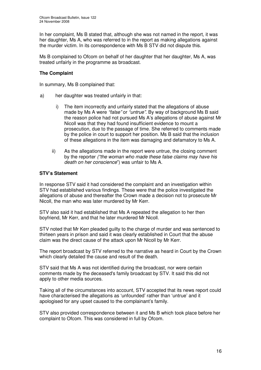In her complaint, Ms B stated that, although she was not named in the report, it was her daughter, Ms A, who was referred to in the report as making allegations against the murder victim. In its correspondence with Ms B STV did not dispute this.

Ms B complained to Ofcom on behalf of her daughter that her daughter, Ms A, was treated unfairly in the programme as broadcast.

# **The Complaint**

In summary, Ms B complained that:

- a) her daughter was treated unfairly in that:
	- i) The item incorrectly and unfairly stated that the allegations of abuse made by Ms A were *"false"* or *"untrue"*. By way of background Ms B said the reason police had not pursued Ms A's allegations of abuse against Mr Nicoll was that they had found insufficient evidence to mount a prosecution, due to the passage of time. She referred to comments made by the police in court to support her position. Ms B said that the inclusion of these allegations in the item was damaging and defamatory to Ms A.
	- ii) As the allegations made in the report were untrue, the closing comment by the reporter *("the woman who made these false claims may have his death on her conscience*") was unfair to Ms A.

# **STV's Statement**

In response STV said it had considered the complaint and an investigation within STV had established various findings. These were that the police investigated the allegations of abuse and thereafter the Crown made a decision not to prosecute Mr Nicoll, the man who was later murdered by Mr Kerr.

STV also said it had established that Ms A repeated the allegation to her then boyfriend, Mr Kerr, and that he later murdered Mr Nicoll.

STV noted that Mr Kerr pleaded guilty to the charge of murder and was sentenced to thirteen years in prison and said it was clearly established in Court that the abuse claim was the direct cause of the attack upon Mr Nicoll by Mr Kerr.

The report broadcast by STV referred to the narrative as heard in Court by the Crown which clearly detailed the cause and result of the death.

STV said that Ms A was not identified during the broadcast, nor were certain comments made by the deceased's family broadcast by STV. It said this did not apply to other media sources.

Taking all of the circumstances into account, STV accepted that its news report could have characterised the allegations as 'unfounded' rather than 'untrue' and it apologised for any upset caused to the complainant's family.

STV also provided correspondence between it and Ms B which took place before her complaint to Ofcom. This was considered in full by Ofcom.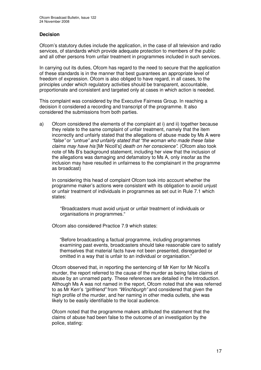# **Decision**

Ofcom's statutory duties include the application, in the case of all television and radio services, of standards which provide adequate protection to members of the public and all other persons from unfair treatment in programmes included in such services.

In carrying out its duties, Ofcom has regard to the need to secure that the application of these standards is in the manner that best guarantees an appropriate level of freedom of expression. Ofcom is also obliged to have regard, in all cases, to the principles under which regulatory activities should be transparent, accountable, proportionate and consistent and targeted only at cases in which action is needed.

This complaint was considered by the Executive Fairness Group. In reaching a decision it considered a recording and transcript of the programme. It also considered the submissions from both parties.

a) Ofcom considered the elements of the complaint at i) and ii) together because they relate to the same complaint of unfair treatment, namely that the item incorrectly and unfairly stated that the allegations of abuse made by Ms A were *"false"* or *"untrue" and unfairly stated that "the woman who made these false claims may have his* [Mr Nicoll's] *death on her conscience"*. (Ofcom also took note of Ms B's background statement, including her view that the inclusion of the allegations was damaging and defamatory to Ms A, only insofar as the inclusion may have resulted in unfairness to the complainant in the programme as broadcast)

In considering this head of complaint Ofcom took into account whether the programme maker's actions were consistent with its obligation to avoid unjust or unfair treatment of individuals in programmes as set out in Rule 7.1 which states:

"Broadcasters must avoid unjust or unfair treatment of individuals or organisations in programmes."

Ofcom also considered Practice 7.9 which states:

"Before broadcasting a factual programme, including programmes examining past events, broadcasters should take reasonable care to satisfy themselves that material facts have not been presented, disregarded or omitted in a way that is unfair to an individual or organisation."

Ofcom observed that, in reporting the sentencing of Mr Kerr for Mr Nicoll's murder, the report referred to the cause of the murder as being false claims of abuse by an unnamed party. These references are detailed in the Introduction. Although Ms A was not named in the report, Ofcom noted that she was referred to as Mr Kerr's *"girlfriend"* from *"Winchburgh"* and considered that given the high profile of the murder, and her naming in other media outlets, she was likely to be easily identifiable to the local audience.

Ofcom noted that the programme makers attributed the statement that the claims of abuse had been false to the outcome of an investigation by the police, stating: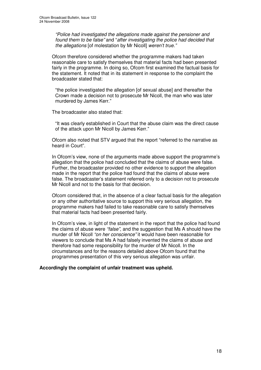*"Police had investigated the allegations made against the pensioner and found them to be false"* and "*after investigating the police had decided that the allegations* [of molestation by Mr Nicoll] *weren't true."*

Ofcom therefore considered whether the programme makers had taken reasonable care to satisfy themselves that material facts had been presented fairly in the programme. In doing so, Ofcom first examined the factual basis for the statement. It noted that in its statement in response to the complaint the broadcaster stated that:

"the police investigated the allegation [of sexual abuse] and thereafter the Crown made a decision not to prosecute Mr Nicoll, the man who was later murdered by James Kerr."

The broadcaster also stated that:

"It was clearly established in Court that the abuse claim was the direct cause of the attack upon Mr Nicoll by James Kerr."

Ofcom also noted that STV argued that the report "referred to the narrative as heard in Court".

In Ofcom's view, none of the arguments made above support the programme's allegation that the police had concluded that the claims of abuse were false. Further, the broadcaster provided no other evidence to support the allegation made in the report that the police had found that the claims of abuse were false. The broadcaster's statement referred only to a decision not to prosecute Mr Nicoll and not to the basis for that decision.

Ofcom considered that, in the absence of a clear factual basis for the allegation or any other authoritative source to support this very serious allegation, the programme makers had failed to take reasonable care to satisfy themselves that material facts had been presented fairly.

In Ofcom's view, in light of the statement in the report that the police had found the claims of abuse were *"false"*, and the suggestion that Ms A should have the murder of Mr Nicoll *"on her conscience"* it would have been reasonable for viewers to conclude that Ms A had falsely invented the claims of abuse and therefore had some responsibility for the murder of Mr Nicoll. In the circumstances and for the reasons detailed above Ofcom found that the programmes presentation of this very serious allegation was unfair.

# **Accordingly the complaint of unfair treatment was upheld.**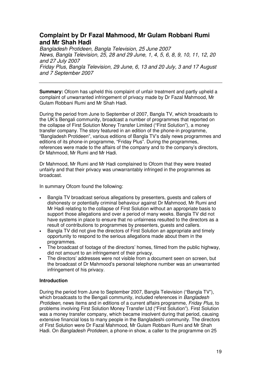# **Complaint by Dr Fazal Mahmood, Mr Gulam Robbani Rumi and Mr Shah Hadi**

*Bangladesh Protideen, Bangla Television, 25 June 2007 News, Bangla Television, 25, 28 and 29 June, 1, 4, 5, 6, 8, 9, 10, 11, 12, 20 and 27 July 2007 Friday Plus, Bangla Television, 29 June, 6, 13 and 20 July, 3 and 17 August and 7 September 2007*

**Summary:** Ofcom has upheld this complaint of unfair treatment and partly upheld a complaint of unwarranted infringement of privacy made by Dr Fazal Mahmood, Mr Gulam Robbani Rumi and Mr Shah Hadi.

During the period from June to September of 2007, Bangla TV, which broadcasts to the UK's Bengali community, broadcast a number of programmes that reported on the collapse of First Solution Money Transfer Limited ("First Solution"), a money transfer company. The story featured in an edition of the phone-in programme, "Bangladesh Protideen", various editions of Bangla TV's daily news programmes and editions of its phone-in programme, "Friday Plus". During the programmes, references were made to the affairs of the company and to the company's directors, Dr Mahmood, Mr Rumi and Mr Hadi.

Dr Mahmood, Mr Rumi and Mr Hadi complained to Ofcom that they were treated unfairly and that their privacy was unwarrantably infringed in the programmes as broadcast.

In summary Ofcom found the following:

- Bangla TV broadcast serious allegations by presenters, guests and callers of dishonesty or potentially criminal behaviour against Dr Mahmood, Mr Rumi and Mr Hadi relating to the collapse of First Solution without an appropriate basis to support those allegations and over a period of many weeks. Bangla TV did not have systems in place to ensure that no unfairness resulted to the directors as a result of contributions to programmes by presenters, guests and callers.
- Bangla TV did not give the directors of First Solution an appropriate and timely opportunity to respond to the serious allegations made about them in the programmes.
- The broadcast of footage of the directors' homes, filmed from the public highway, did not amount to an infringement of their privacy.
- The directors' addresses were not visible from a document seen on screen, but the broadcast of Dr Mahmood's personal telephone number was an unwarranted infringement of his privacy.

# **Introduction**

During the period from June to September 2007, Bangla Television ("Bangla TV"), which broadcasts to the Bengali community, included references in *Bangladesh Protideen*, news items and in editions of a current affairs programme, *Friday Plus,* to problems involving First Solution Money Transfer Ltd ("First Solution"). First Solution was a money transfer company, which became insolvent during that period, causing extensive financial loss to many people in the Bangladeshi community. The directors of First Solution were Dr Fazal Mahmood, Mr Gulam Robbani Rumi and Mr Shah Hadi. On *Bangladesh Protideen*, a phone-in show, a caller to the programme on 25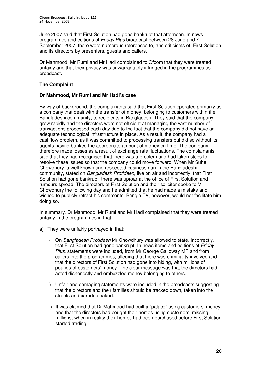June 2007 said that First Solution had gone bankrupt that afternoon. In news programmes and editions of *Friday Plus* broadcast between 28 June and 7 September 2007, there were numerous references to, and criticisms of, First Solution and its directors by presenters, guests and callers*.*

Dr Mahmood, Mr Rumi and Mr Hadi complained to Ofcom that they were treated unfairly and that their privacy was unwarrantably infringed in the programmes as broadcast.

# **The Complaint**

# **Dr Mahmood, Mr Rumi and Mr Hadi's case**

By way of background, the complainants said that First Solution operated primarily as a company that dealt with the transfer of money, belonging to customers within the Bangladeshi community, to recipients in Bangladesh. They said that the company grew rapidly and the directors were not efficient at managing the vast number of transactions processed each day due to the fact that the company did not have an adequate technological infrastructure in place. As a result, the company had a cashflow problem, as it was committed to processing transfers but did so without its agents having banked the appropriate amount of money on time. The company therefore made losses as a result of exchange rate fluctuations. The complainants said that they had recognised that there was a problem and had taken steps to resolve these issues so that the company could move forward. When Mr Suhel Chowdhury, a well known and respected businessman in the Bangladeshi community, stated on *Bangladesh Protideen*, live on air and incorrectly, that First Solution had gone bankrupt, there was uproar at the office of First Solution and rumours spread. The directors of First Solution and their solicitor spoke to Mr Chowdhury the following day and he admitted that he had made a mistake and wished to publicly retract his comments. Bangla TV, however, would not facilitate him doing so.

In summary, Dr Mahmood, Mr Rumi and Mr Hadi complained that they were treated unfairly in the programmes in that:

- a) They were unfairly portrayed in that:
	- i) On *Bangladesh Protideen* Mr Chowdhury was allowed to state, incorrectly, that First Solution had gone bankrupt. In news items and editions of *Friday Plus*, statements were included, from Mr George Galloway MP and from callers into the programmes, alleging that there was criminality involved and that the directors of First Solution had gone into hiding, with millions of pounds of customers' money. The clear message was that the directors had acted dishonestly and embezzled money belonging to others.
	- ii) Unfair and damaging statements were included in the broadcasts suggesting that the directors and their families should be tracked down, taken into the streets and paraded naked.
	- iii) It was claimed that Dr Mahmood had built a "palace" using customers' money and that the directors had bought their homes using customers' missing millions, when in reality their homes had been purchased before First Solution started trading.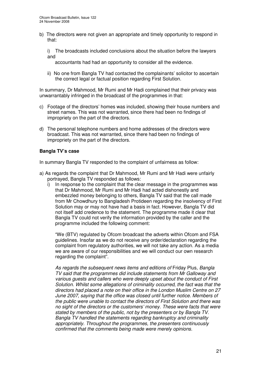b) The directors were not given an appropriate and timely opportunity to respond in that:

i) The broadcasts included conclusions about the situation before the lawyers and

accountants had had an opportunity to consider all the evidence.

ii) No one from Bangla TV had contacted the complainants' solicitor to ascertain the correct legal or factual position regarding First Solution.

In summary, Dr Mahmood, Mr Rumi and Mr Hadi complained that their privacy was unwarrantably infringed in the broadcast of the programmes in that:

- c) Footage of the directors' homes was included, showing their house numbers and street names. This was not warranted, since there had been no findings of impropriety on the part of the directors.
- d) The personal telephone numbers and home addresses of the directors were broadcast. This was not warranted, since there had been no findings of impropriety on the part of the directors.

# **Bangla TV's case**

In summary Bangla TV responded to the complaint of unfairness as follow:

- a) As regards the complaint that Dr Mahmood, Mr Rumi and Mr Hadi were unfairly portrayed, Bangla TV responded as follows:
	- i) In response to the complaint that the clear message in the programmes was that Dr Mahmood, Mr Rumi and Mr Hadi had acted dishonestly and embezzled money belonging to others, Bangla TV said that the call made from Mr Chowdhury to Bangladesh Protideen regarding the insolvency of First Solution may or may not have had a basis in fact. However, Bangla TV did not itself add credence to the statement. The programme made it clear that Bangla TV could not verify the information provided by the caller and the programme included the following comment:

"We (BTV) regulated by Ofcom broadcast the adverts within Ofcom and FSA guidelines. Insofar as we do not receive any order/declaration regarding the complaint from regulatory authorities, we will not take any action. As a media we are aware of our responsibilities and we will conduct our own research regarding the complaint".

*As regards the subsequent news items and editions of* Friday Plus*, Bangla TV said that the programmes did include statements from Mr Galloway and various guests and callers who were deeply upset about the conduct of First Solution. Whilst some allegations of criminality occurred, the fact was that the directors had placed a note on their office in the London Muslim Centre on 27 June 2007, saying that the office was closed until further notice. Members of the public were unable to contact the directors of First Solution and there was no sight of the directors or the customers' money. These were facts that were stated by members of the public, not by the presenters or by Bangla TV. Bangla TV handled the statements regarding bankruptcy and criminality appropriately. Throughout the programmes, the presenters continuously confirmed that the comments being made were merely opinions.*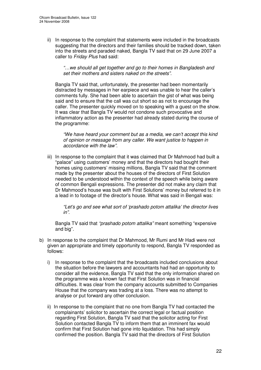ii) In response to the complaint that statements were included in the broadcasts suggesting that the directors and their families should be tracked down, taken into the streets and paraded naked, Bangla TV said that on 29 June 2007 a caller to *Friday Plus* had said:

*"…we should all get together and go to their homes in Bangladesh and set their mothers and sisters naked on the streets".*

Bangla TV said that, unfortunately, the presenter had been momentarily distracted by messages in her earpiece and was unable to hear the caller's comments fully. She had been able to ascertain the gist of what was being said and to ensure that the call was cut short so as not to encourage the caller. The presenter quickly moved on to speaking with a guest on the show. It was clear that Bangla TV would not condone such provocative and inflammatory action as the presenter had already stated during the course of the programme:

*"We have heard your comment but as a media, we can't accept this kind of opinion or message from any caller. We want justice to happen in accordance with the law".*

iii) In response to the complaint that it was claimed that Dr Mahmood had built a "palace" using customers' money and that the directors had bought their homes using customers' missing millions, Bangla TV said that the comment made by the presenter about the houses of the directors of First Solution needed to be understood within the context of the speech while being aware of common Bengali expressions. The presenter did not make any claim that Dr Mahmood's house was built with First Solutions' money but referred to it in a lead in to footage of the director's house. What was said in Bengali was:

*"Let's go and see what sort of 'prashado potom attalika' the director lives in".*

Bangla TV said that *"prashado potom attalika"* meant something "expensive and big".

- b) In response to the complaint that Dr Mahmood, Mr Rumi and Mr Hadi were not given an appropriate and timely opportunity to respond, Bangla TV responded as follows:
	- i) In response to the complaint that the broadcasts included conclusions about the situation before the lawyers and accountants had had an opportunity to consider all the evidence, Bangla TV said that the only information shared on the programme was a known fact that First Solution was in financial difficulties. It was clear from the company accounts submitted to Companies House that the company was trading at a loss. There was no attempt to analyse or put forward any other conclusion.
	- ii) In response to the complaint that no one from Bangla TV had contacted the complainants' solicitor to ascertain the correct legal or factual position regarding First Solution, Bangla TV said that the solicitor acting for First Solution contacted Bangla TV to inform them that an imminent fax would confirm that First Solution had gone into liquidation. This had simply confirmed the position. Bangla TV said that the directors of First Solution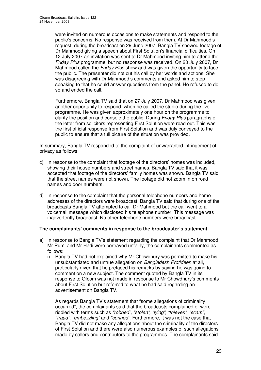were invited on numerous occasions to make statements and respond to the public's concerns. No response was received from them. At Dr Mahmood's request, during the broadcast on 29 June 2007, Bangla TV showed footage of Dr Mahmood giving a speech about First Solution's financial difficulties. On 12 July 2007 an invitation was sent to Dr Mahmood inviting him to attend the *Friday Plus* programme, but no response was received. On 20 July 2007, Dr Mahmood called the *Friday Plus* show and was given the opportunity to face the public. The presenter did not cut his call by her words and actions. She was disagreeing with Dr Mahmood's comments and asked him to stop speaking to that he could answer questions from the panel. He refused to do so and ended the call.

Furthermore, Bangla TV said that on 27 July 2007, Dr Mahmood was given another opportunity to respond, when he called the studio during the live programme. He was given approximately one hour on the programme to clarify the position and console the public. During *Friday Plus* paragraphs of the letter from solicitors representing First Solution were read out. This was the first official response from First Solution and was duly conveyed to the public to ensure that a full picture of the situation was provided.

In summary, Bangla TV responded to the complaint of unwarranted infringement of privacy as follows:

- c) In response to the complaint that footage of the directors' homes was included, showing their house numbers and street names, Bangla TV said that it was accepted that footage of the directors' family homes was shown. Bangla TV said that the street names were not shown. The footage did not zoom in on road names and door numbers.
- d) In response to the complaint that the personal telephone numbers and home addresses of the directors were broadcast, Bangla TV said that during one of the broadcasts Bangla TV attempted to call Dr Mahmood but the call went to a voicemail message which disclosed his telephone number. This message was inadvertently broadcast. No other telephone numbers were broadcast.

# **The complainants' comments in response to the broadcaster's statement**

- a) In response to Bangla TV's statement regarding the complaint that Dr Mahmood, Mr Rumi and Mr Hadi were portrayed unfairly, the complainants commented as follows:
	- i) Bangla TV had not explained why Mr Chowdhury was permitted to make his unsubstantiated and untrue allegation on *Bangladesh Protideen* at all, particularly given that he prefaced his remarks by saying he was going to comment on a new subject. The comment quoted by Bangla TV in its response to Ofcom was not made in response to Mr Chowdhury's comments about First Solution but referred to what he had said regarding an advertisement on Bangla TV.

As regards Bangla TV's statement that "some allegations of criminality occurred", the complainants said that the broadcasts complained of were riddled with terms such as *"robbed", "stolen", "lying", "thieves", "scam", "fraud", "embezzling"* and *"conned"*. Furthermore, it was not the case that Bangla TV did not make any allegations about the criminality of the directors of First Solution and there were also numerous examples of such allegations made by callers and contributors to the programmes. The complainants said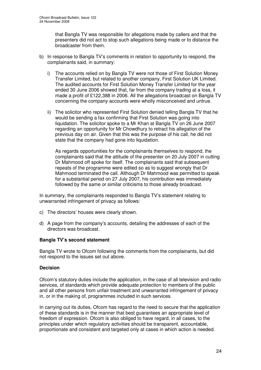that Bangla TV was responsible for allegations made by callers and that the presenters did not act to stop such allegations being made or to distance the broadcaster from them.

- b) In response to Bangla TV's comments in relation to opportunity to respond, the complainants said, in summary:
	- i) The accounts relied on by Bangla TV were not those of First Solution Money Transfer Limited, but related to another company, First Solution UK Limited. The audited accounts for First Solution Money Transfer Limited for the year ended 30 June 2006 showed that, far from the company trading at a loss, it made a profit of £122,388 in 2006. All the allegations broadcast on Bangla TV concerning the company accounts were wholly misconceived and untrue.
	- ii) The solicitor who represented First Solution denied telling Bangla TV that he would be sending a fax confirming that First Solution was going into liquidation. The solicitor spoke to a Mr Khan at Bangla TV on 26 June 2007 regarding an opportunity for Mr Chowdhury to retract his allegation of the previous day on air. Given that this was the purpose of his call, he did not state that the company had gone into liquidation.

As regards opportunities for the complainants themselves to respond, the complainants said that the attitude of the presenter on 20 July 2007 in cutting Dr Mahmood off spoke for itself. The complainants said that subsequent repeats of the programme were edited so as to suggest wrongly that Dr Mahmood terminated the call. Although Dr Mahmood was permitted to speak for a substantial period on 27 July 2007, his contribution was immediately followed by the same or similar criticisms to those already broadcast.

In summary, the complainants responded to Bangla TV's statement relating to unwarranted infringement of privacy as follows:

- c) The directors' houses were clearly shown.
- d) A page from the company's accounts, detailing the addresses of each of the directors was broadcast.

# **Bangla TV's second statement**

Bangla TV wrote to Ofcom following the comments from the complainants, but did not respond to the issues set out above.

# **Decision**

Ofcom's statutory duties include the application, in the case of all television and radio services, of standards which provide adequate protection to members of the public and all other persons from unfair treatment and unwarranted infringement of privacy in, or in the making of, programmes included in such services.

In carrying out its duties, Ofcom has regard to the need to secure that the application of these standards is in the manner that best guarantees an appropriate level of freedom of expression. Ofcom is also obliged to have regard, in all cases, to the principles under which regulatory activities should be transparent, accountable, proportionate and consistent and targeted only at cases in which action is needed.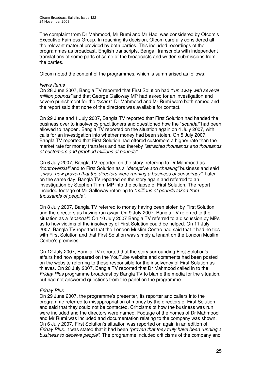The complaint from Dr Mahmood, Mr Rumi and Mr Hadi was considered by Ofcom's Executive Fairness Group. In reaching its decision, Ofcom carefully considered all the relevant material provided by both parties. This included recordings of the programmes as broadcast, English transcripts, Bengali transcripts with independent translations of some parts of some of the broadcasts and written submissions from the parties.

Ofcom noted the content of the programmes, which is summarised as follows:

#### *News Items*

On 28 June 2007, Bangla TV reported that First Solution had *"run away with several million pounds"* and that George Galloway MP had asked for an investigation and severe punishment for the *"scam"*. Dr Mahmood and Mr Rumi were both named and the report said that none of the directors was available for contact.

On 29 June and 1 July 2007, Bangla TV reported that First Solution had handed the business over to insolvency practitioners and questioned how the "*scandal"* had been allowed to happen. Bangla TV reported on the situation again on 4 July 2007, with calls for an investigation into whether money had been stolen. On 5 July 2007, Bangla TV reported that First Solution had offered customers a higher rate than the market rate for money transfers and had thereby *"attracted thousands and thousands of customers and grabbed millions of pounds".*

On 6 July 2007, Bangla TV reported on the story, referring to Dr Mahmood as *"controversial"* and to First Solution as a *"deceptive and cheating"* business and said it was *"now proven that the directors were running a business of conspiracy"*. Later on the same day, Bangla TV reported on the story again and referred to an investigation by Stephen Timm MP into the collapse of First Solution. The report included footage of Mr Galloway referring to *"millions of pounds taken from thousands of people"*.

On 8 July 2007, Bangla TV referred to money having been stolen by First Solution and the directors as having run away. On 9 July 2007, Bangla TV referred to the situation as a *"scandal"*. On 10 July 2007 Bangla TV referred to a discussion by MPs as to how victims of the insolvency of First Solution could be helped. On 11 July 2007, Bangla TV reported that the London Muslim Centre had said that it had no ties with First Solution and that First Solution was simply a tenant on the London Muslim Centre's premises.

On 12 July 2007, Bangla TV reported that the story surrounding First Solution's affairs had now appeared on the YouTube website and comments had been posted on the website referring to those responsible for the insolvency of First Solution as thieves. On 20 July 2007, Bangla TV reported that Dr Mahmood called in to the *Friday Plus* programme broadcast by Bangla TV to blame the media for the situation, but had not answered questions from the panel on the programme.

# *Friday Plus*

On 29 June 2007, the programme's presenter, its reporter and callers into the programme referred to misappropriation of money by the directors of First Solution and said that they could not be contacted. Criticisms of how the business was run were included and the directors were named. Footage of the homes of Dr Mahmood and Mr Rumi was included and documentation relating to the company was shown. On 6 July 2007, First Solution's situation was reported on again in an edition of *Friday Plus.* It was stated that it had been *"proven that they truly have been running a business to deceive people"*. The programme included criticisms of the company and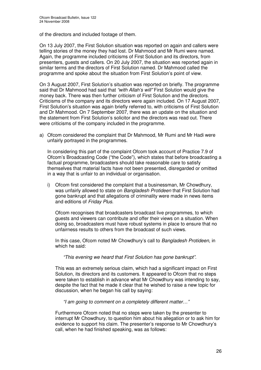of the directors and included footage of them.

On 13 July 2007, the First Solution situation was reported on again and callers were telling stories of the money they had lost. Dr Mahmood and Mr Rumi were named. Again, the programme included criticisms of First Solution and its directors, from presenters, guests and callers. On 20 July 2007, the situation was reported again in similar terms and the directors of First Solution named. Dr Mahmood called the programme and spoke about the situation from First Solution's point of view.

On 3 August 2007, First Solution's situation was reported on briefly. The programme said that Dr Mahmood had said that *"with Allah's will"* First Solution would give the money back. There was then further criticism of First Solution and the directors. Criticisms of the company and its directors were again included. On 17 August 2007, First Solution's situation was again briefly referred to, with criticisms of First Solution and Dr Mahmood. On 7 September 2007, there was an update on the situation and the statement from First Solution's solicitor and the directors was read out. There were criticisms of the company included in the programme.

a) Ofcom considered the complaint that Dr Mahmood, Mr Rumi and Mr Hadi were unfairly portrayed in the programmes.

In considering this part of the complaint Ofcom took account of Practice 7.9 of Ofcom's Broadcasting Code ("the Code"), which states that before broadcasting a factual programme, broadcasters should take reasonable care to satisfy themselves that material facts have not been presented, disregarded or omitted in a way that is unfair to an individual or organisation.

i) Ofcom first considered the complaint that a businessman, Mr Chowdhury, was unfairly allowed to state on *Bangladesh Protideen* that First Solution had gone bankrupt and that allegations of criminality were made in news items and editions of *Friday Plus*.

Ofcom recognises that broadcasters broadcast live programmes, to which guests and viewers can contribute and offer their views on a situation. When doing so, broadcasters must have robust systems in place to ensure that no unfairness results to others from the broadcast of such views.

In this case, Ofcom noted Mr Chowdhury's call to *Bangladesh Protideen*, in which he said:

*"This evening we heard that First Solution has gone bankrupt".*

This was an extremely serious claim, which had a significant impact on First Solution, its directors and its customers. It appeared to Ofcom that no steps were taken to establish in advance what Mr Chowdhury was intending to say, despite the fact that he made it clear that he wished to raise a new topic for discussion, when he began his call by saying:

*"I am going to comment on a completely different matter…"*

Furthermore Ofcom noted that no steps were taken by the presenter to interrupt Mr Chowdhury, to question him about his allegation or to ask him for evidence to support his claim. The presenter's response to Mr Chowdhury's call, when he had finished speaking, was as follows: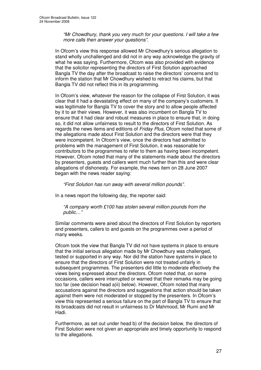*"Mr Chowdhury, thank you very much for your questions. I will take a few more calls then answer your questions".*

In Ofcom's view this response allowed Mr Chowdhury's serious allegation to stand wholly unchallenged and did not in any way acknowledge the gravity of what he was saying. Furthermore, Ofcom was also provided with evidence that the solicitor representing the directors of First Solution approached Bangla TV the day after the broadcast to raise the directors' concerns and to inform the station that Mr Chowdhury wished to retract his claims, but that Bangla TV did not reflect this in its programming.

In Ofcom's view, whatever the reason for the collapse of First Solution, it was clear that it had a devastating effect on many of the company's customers. It was legitimate for Bangla TV to cover the story and to allow people affected by it to air their views. However, it was also incumbent on Bangla TV to ensure that it had clear and robust measures in place to ensure that, in doing so, it did not allow unfairness to result to the directors of First Solution. As regards the news items and editions of *Friday Plus*, Ofcom noted that some of the allegations made about First Solution and the directors were that they were incompetent. In Ofcom's view, once the directors had admitted to problems with the management of First Solution, it was reasonable for contributors to the programmes to refer to them as having been incompetent. However, Ofcom noted that many of the statements made about the directors by presenters, guests and callers went much further than this and were clear allegations of dishonesty. For example, the news item on 28 June 2007 began with the news reader saying:

*"First Solution has run away with several million pounds".*

In a news report the following day, the reporter said:

*"A company worth £100 has stolen several million pounds from the public…"*

Similar comments were aired about the directors of First Solution by reporters and presenters, callers to and guests on the programmes over a period of many weeks.

Ofcom took the view that Bangla TV did not have systems in place to ensure that the initial serious allegation made by Mr Chowdhury was challenged, tested or supported in any way. Nor did the station have systems in place to ensure that the directors of First Solution were not treated unfairly in subsequent programmes. The presenters did little to moderate effectively the views being expressed about the directors. Ofcom noted that, on some occasions, callers were interrupted or warned that their remarks may be going too far (see decision head a)ii) below). However, Ofcom noted that many accusations against the directors and suggestions that action should be taken against them were not moderated or stopped by the presenters. In Ofcom's view this represented a serious failure on the part of Bangla TV to ensure that its broadcasts did not result in unfairness to Dr Mahmood, Mr Rumi and Mr Hadi.

Furthermore, as set out under head b) of the decision below, the directors of First Solution were not given an appropriate and timely opportunity to respond to the allegations.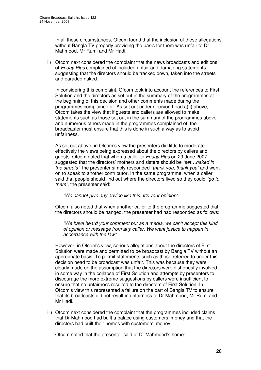In all these circumstances, Ofcom found that the inclusion of these allegations without Bangla TV properly providing the basis for them was unfair to Dr Mahmood, Mr Rumi and Mr Hadi.

ii) Ofcom next considered the complaint that the news broadcasts and editions of *Friday Plus* complained of included unfair and damaging statements suggesting that the directors should be tracked down, taken into the streets and paraded naked.

In considering this complaint, Ofcom took into account the references to First Solution and the directors as set out in the summary of the programmes at the beginning of this decision and other comments made during the programmes complained of. As set out under decision head a) i) above, Ofcom takes the view that if guests and callers are allowed to make statements such as those set out in the summary of the programmes above and numerous others made in the programmes complained of, the broadcaster must ensure that this is done in such a way as to avoid unfairness.

As set out above, in Ofcom's view the presenters did little to moderate effectively the views being expressed about the directors by callers and guests. Ofcom noted that when a caller to *Friday Plus* on 29 June 2007 suggested that the directors' mothers and sisters should be *"set…naked in the streets"*, the presenter simply responded *"thank you, thank you"* and went on to speak to another contributor. In the same programme, when a caller said that people should find out where the directors lived so they could *"go to them"*, the presenter said:

*"We cannot give any advice like this. It's your opinion".*

Ofcom also noted that when another caller to the programme suggested that the directors should be hanged, the presenter had had responded as follows:

*"We have heard your comment but as a media, we can't accept this kind of opinion or message from any caller. We want justice to happen in accordance with the law".*

However, in Ofcom's view, serious allegations about the directors of First Solution were made and permitted to be broadcast by Bangla TV without an appropriate basis. To permit statements such as those referred to under this decision head to be broadcast was unfair. This was because they were clearly made on the assumption that the directors were dishonestly involved in some way in the collapse of First Solution and attempts by presenters to discourage the more extreme suggestions by callers were insufficient to ensure that no unfairness resulted to the directors of First Solution. In Ofcom's view this represented a failure on the part of Bangla TV to ensure that its broadcasts did not result in unfairness to Dr Mahmood, Mr Rumi and Mr Hadi.

iii) Ofcom next considered the complaint that the programmes included claims that Dr Mahmood had built a palace using customers' money and that the directors had built their homes with customers' money.

Ofcom noted that the presenter said of Dr Mahmood's home: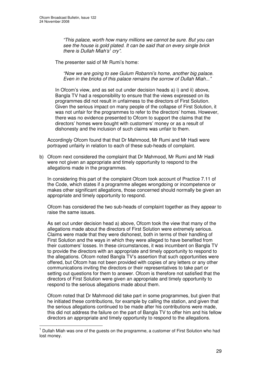*"This palace, worth how many millions we cannot be sure. But you can see the house is gold plated. It can be said that on every single brick there is Dullah Miah's 1 cry".*

The presenter said of Mr Rumi's home:

*"Now we are going to see Gulum Robanni's home, another big palace. Even in the bricks of this palace remains the sorrow of Dullah Miah..."*

In Ofcom's view, and as set out under decision heads a) i) and ii) above, Bangla TV had a responsibility to ensure that the views expressed on its programmes did not result in unfairness to the directors of First Solution. Given the serious impact on many people of the collapse of First Solution, it was not unfair for the programmes to refer to the directors' homes. However, there was no evidence presented to Ofcom to support the claims that the directors' homes were bought with customers' money or as a result of dishonesty and the inclusion of such claims was unfair to them.

Accordingly Ofcom found that that Dr Mahmood, Mr Rumi and Mr Hadi were portrayed unfairly in relation to each of these sub-heads of complaint.

b) Ofcom next considered the complaint that Dr Mahmood, Mr Rumi and Mr Hadi were not given an appropriate and timely opportunity to respond to the allegations made in the programmes.

In considering this part of the complaint Ofcom took account of Practice 7.11 of the Code, which states if a programme alleges wrongdoing or incompetence or makes other significant allegations, those concerned should normally be given an appropriate and timely opportunity to respond.

Ofcom has considered the two sub-heads of complaint together as they appear to raise the same issues.

As set out under decision head a) above, Ofcom took the view that many of the allegations made about the directors of First Solution were extremely serious. Claims were made that they were dishonest, both in terms of their handling of First Solution and the ways in which they were alleged to have benefited from their customers' losses. In these circumstances, it was incumbent on Bangla TV to provide the directors with an appropriate and timely opportunity to respond to the allegations. Ofcom noted Bangla TV's assertion that such opportunities were offered, but Ofcom has not been provided with copies of any letters or any other communications inviting the directors or their representatives to take part or setting out questions for them to answer. Ofcom is therefore not satisfied that the directors of First Solution were given an appropriate and timely opportunity to respond to the serious allegations made about them.

Ofcom noted that Dr Mahmood did take part in some programmes, but given that he initiated these contributions, for example by calling the station, and given that the serious allegations continued to be made after his contributions were made, this did not address the failure on the part of Bangla TV to offer him and his fellow directors an appropriate and timely opportunity to respond to the allegations.

 $<sup>1</sup>$  Dullah Miah was one of the guests on the programme, a customer of First Solution who had</sup> lost money.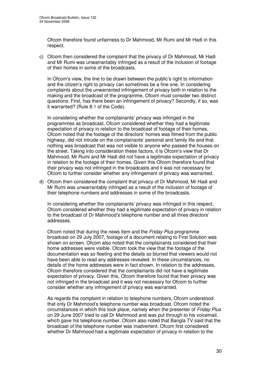Ofcom therefore found unfairness to Dr Mahmood, Mr Rumi and Mr Hadi in this respect.

c) Ofcom then considered the complaint that the privacy of Dr Mahmood, Mr Hadi and Mr Rumi was unwarrantably infringed as a result of the inclusion of footage of their homes in some of the broadcasts.

In Ofcom's view, the line to be drawn between the public's right to information and the citizen's right to privacy can sometimes be a fine one. In considering complaints about the unwarranted infringement of privacy both in relation to the making and the broadcast of the programme, Ofcom must consider two distinct questions: First, has there been an infringement of privacy? Secondly, if so, was it warranted? (Rule 8.1 of the Code).

In considering whether the complainants' privacy was infringed in the programmes as broadcast, Ofcom considered whether they had a legitimate expectation of privacy in relation to the broadcast of footage of their homes. Ofcom noted that the footage of the directors' homes was filmed from the public highway, did not intrude on the complainants' personal and family life and that nothing was broadcast that was not visible to anyone who passed the houses on the street. Taking into consideration these factors, it is Ofcom's view that Dr Mahmood, Mr Rumi and Mr Hadi did not have a legitimate expectation of privacy in relation to the footage of their homes. Given this Ofcom therefore found that their privacy was not infringed in the broadcasts and it was not necessary for Ofcom to further consider whether any infringement of privacy was warranted.

d) Ofcom then considered the complaint that privacy of Dr Mahmood, Mr Hadi and Mr Rumi was unwarrantably infringed as a result of the inclusion of footage of their telephone numbers and addresses in some of the broadcasts.

In considering whether the complainants' privacy was infringed in this respect, Ofcom considered whether they had a legitimate expectation of privacy in relation to the broadcast of Dr Mahmood's telephone number and all three directors' addresses.

Ofcom noted that during the news item and the *Friday Plus* programme broadcast on 29 July 2007, footage of a document relating to First Solution was shown on screen. Ofcom also noted that the complainants considered that their home addresses were visible. Ofcom took the view that the footage of the documentation was so fleeting and the details so blurred that viewers would not have been able to read any addresses revealed. In these circumstances, no details of the home addresses were in fact shown. In relation to the addresses, Ofcom therefore considered that the complainants did not have a legitimate expectation of privacy. Given this, Ofcom therefore found that their privacy was not infringed in the broadcast and it was not necessary for Ofcom to further consider whether any infringement of privacy was warranted.

As regards the complaint in relation to telephone numbers, Ofcom understood that only Dr Mahmood's telephone number was broadcast. Ofcom noted the circumstances in which this took place, namely when the presenter of *Friday Plus* on 29 June 2007 tried to call Dr Mahmood and was put through to his voicemail, which gave his telephone number. Ofcom also noted that Bangla TV said that the broadcast of the telephone number was inadvertent. Ofcom first considered whether Dr Mahmood had a legitimate expectation of privacy in relation to the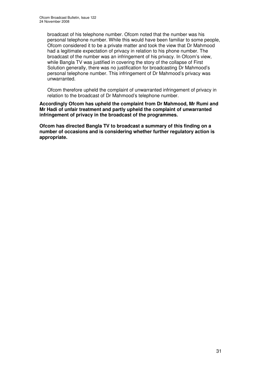broadcast of his telephone number. Ofcom noted that the number was his personal telephone number. While this would have been familiar to some people, Ofcom considered it to be a private matter and took the view that Dr Mahmood had a legitimate expectation of privacy in relation to his phone number. The broadcast of the number was an infringement of his privacy. In Ofcom's view, while Bangla TV was justified in covering the story of the collapse of First Solution generally, there was no justification for broadcasting Dr Mahmood's personal telephone number. This infringement of Dr Mahmood's privacy was unwarranted.

Ofcom therefore upheld the complaint of unwarranted infringement of privacy in relation to the broadcast of Dr Mahmood's telephone number.

**Accordingly Ofcom has upheld the complaint from Dr Mahmood, Mr Rumi and Mr Hadi of unfair treatment and partly upheld the complaint of unwarranted infringement of privacy in the broadcast of the programmes.**

**Ofcom has directed Bangla TV to broadcast a summary of this finding on a number of occasions and is considering whether further regulatory action is appropriate.**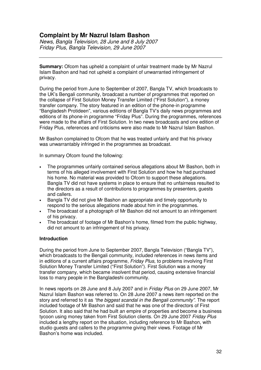# **Complaint by Mr Nazrul Islam Bashon**

*News, Bangla Television, 28 June and 8 July 2007 Friday Plus, Bangla Television, 29 June 2007*

**Summary:** Ofcom has upheld a complaint of unfair treatment made by Mr Nazrul Islam Bashon and had not upheld a complaint of unwarranted infringement of privacy.

During the period from June to September of 2007, Bangla TV, which broadcasts to the UK's Bengali community, broadcast a number of programmes that reported on the collapse of First Solution Money Transfer Limited ("First Solution"), a money transfer company. The story featured in an edition of the phone-in programme "Bangladesh Protideen", various editions of Bangla TV's daily news programmes and editions of its phone-in programme "Friday Plus". During the programmes, references were made to the affairs of First Solution. In two news broadcasts and one edition of Friday Plus, references and criticisms were also made to Mr Nazrul Islam Bashon.

Mr Bashon complained to Ofcom that he was treated unfairly and that his privacy was unwarrantably infringed in the programmes as broadcast.

In summary Ofcom found the following:

- The programmes unfairly contained serious allegations about Mr Bashon, both in terms of his alleged involvement with First Solution and how he had purchased his home. No material was provided to Ofcom to support these allegations. Bangla TV did not have systems in place to ensure that no unfairness resulted to the directors as a result of contributions to programmes by presenters, guests and callers.
- Bangla TV did not give Mr Bashon an appropriate and timely opportunity to respond to the serious allegations made about him in the programmes.
- The broadcast of a photograph of Mr Bashon did not amount to an infringement of his privacy.
- The broadcast of footage of Mr Bashon's home, filmed from the public highway, did not amount to an infringement of his privacy.

# **Introduction**

During the period from June to September 2007, Bangla Television ("Bangla TV"), which broadcasts to the Bengali community, included references in news items and in editions of a current affairs programme, *Friday Plus*, to problems involving First Solution Money Transfer Limited ("First Solution"). First Solution was a money transfer company, which became insolvent that period, causing extensive financial loss to many people in the Bangladeshi community.

In news reports on 28 June and 8 July 2007 and in *Friday Plus* on 29 June 2007, Mr Nazrul Islam Bashon was referred to. On 28 June 2007 a news item reported on the story and referred to it as *"the biggest scandal in the Bengali community"*. The report included footage of Mr Bashon and said that he was one of the directors of First Solution. It also said that he had built an empire of properties and become a business tycoon using money taken from First Solution clients. On 29 June 2007 *Friday Plus* included a lengthy report on the situation, including reference to Mr Bashon, with studio guests and callers to the programme giving their views. Footage of Mr Bashon's home was included.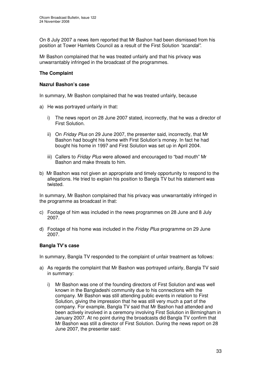On 8 July 2007 a news item reported that Mr Bashon had been dismissed from his position at Tower Hamlets Council as a result of the First Solution *"scandal"*.

Mr Bashon complained that he was treated unfairly and that his privacy was unwarrantably infringed in the broadcast of the programmes.

# **The Complaint**

## **Nazrul Bashon's case**

In summary, Mr Bashon complained that he was treated unfairly, because

- a) He was portrayed unfairly in that:
	- i) The news report on 28 June 2007 stated, incorrectly, that he was a director of First Solution.
	- ii) On *Friday Plus* on 29 June 2007, the presenter said, incorrectly, that Mr Bashon had bought his home with First Solution's money. In fact he had bought his home in 1997 and First Solution was set up in April 2004.
	- iii) Callers to *Friday Plus* were allowed and encouraged to "bad mouth" Mr Bashon and make threats to him.
- b) Mr Bashon was not given an appropriate and timely opportunity to respond to the allegations. He tried to explain his position to Bangla TV but his statement was twisted.

In summary, Mr Bashon complained that his privacy was unwarrantably infringed in the programme as broadcast in that:

- c) Footage of him was included in the news programmes on 28 June and 8 July 2007.
- d) Footage of his home was included in the *Friday Plus* programme on 29 June 2007.

# **Bangla TV's case**

In summary, Bangla TV responded to the complaint of unfair treatment as follows:

- a) As regards the complaint that Mr Bashon was portrayed unfairly, Bangla TV said in summary:
	- i) Mr Bashon was one of the founding directors of First Solution and was well known in the Bangladeshi community due to his connections with the company. Mr Bashon was still attending public events in relation to First Solution, giving the impression that he was still very much a part of the company. For example, Bangla TV said that Mr Bashon had attended and been actively involved in a ceremony involving First Solution in Birmingham in January 2007. At no point during the broadcasts did Bangla TV confirm that Mr Bashon was still a director of First Solution. During the news report on 28 June 2007, the presenter said: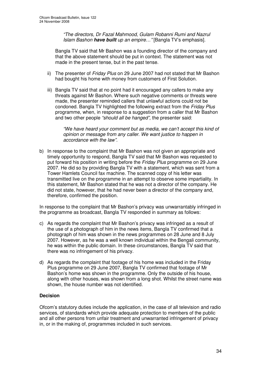*"The directors, Dr Fazal Mahmood, Gulam Robanni Rumi and Nazrul Islam Bashon have built up an empire…"* [Bangla TV's emphasis].

Bangla TV said that Mr Bashon was a founding director of the company and that the above statement should be put in context. The statement was not made in the present tense, but in the past tense.

- ii) The presenter of *Friday Plus* on 29 June 2007 had not stated that Mr Bashon had bought his home with money from customers of First Solution.
- iii) Bangla TV said that at no point had it encouraged any callers to make any threats against Mr Bashon. Where such negative comments or threats were made, the presenter reminded callers that unlawful actions could not be condoned. Bangla TV highlighted the following extract from the *Friday Plus* programme, when, in response to a suggestion from a caller that Mr Bashon and two other people *"should all be hanged"*, the presenter said:

*"We have heard your comment but as media, we can't accept this kind of opinion or message from any caller. We want justice to happen in accordance with the law".*

b) In response to the complaint that Mr Bashon was not given an appropriate and timely opportunity to respond, Bangla TV said that Mr Bashon was requested to put forward his position in writing before the *Friday Plus* programme on 29 June 2007. He did so by providing Bangla TV with a statement, which was sent from a Tower Hamlets Council fax machine. The scanned copy of his letter was transmitted live on the programme in an attempt to observe some impartiality. In this statement, Mr Bashon stated that he was not a director of the company. He did not state, however, that he had never been a director of the company and, therefore, confirmed the position.

In response to the complaint that Mr Bashon's privacy was unwarrantably infringed in the programme as broadcast, Bangla TV responded in summary as follows:

- c) As regards the complaint that Mr Bashon's privacy was infringed as a result of the use of a photograph of him in the news items, Bangla TV confirmed that a photograph of him was shown in the news programmes on 28 June and 8 July 2007. However, as he was a well known individual within the Bengali community, he was within the public domain. In these circumstances, Bangla TV said that there was no infringement of his privacy.
- d) As regards the complaint that footage of his home was included in the Friday Plus programme on 29 June 2007, Bangla TV confirmed that footage of Mr Bashon's home was shown in the programme. Only the outside of his house, along with other houses, was shown from a long shot. Whilst the street name was shown, the house number was not identified.

# **Decision**

Ofcom's statutory duties include the application, in the case of all television and radio services, of standards which provide adequate protection to members of the public and all other persons from unfair treatment and unwarranted infringement of privacy in, or in the making of, programmes included in such services.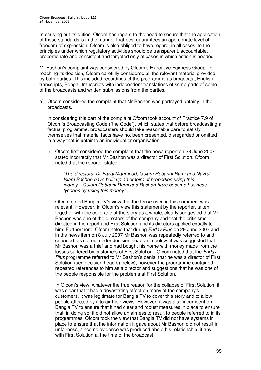In carrying out its duties, Ofcom has regard to the need to secure that the application of these standards is in the manner that best guarantees an appropriate level of freedom of expression. Ofcom is also obliged to have regard, in all cases, to the principles under which regulatory activities should be transparent, accountable, proportionate and consistent and targeted only at cases in which action is needed.

Mr Bashon's complaint was considered by Ofcom's Executive Fairness Group. In reaching its decision, Ofcom carefully considered all the relevant material provided by both parties. This included recordings of the programme as broadcast, English transcripts, Bengali transcripts with independent translations of some parts of some of the broadcasts and written submissions from the parties.

a) Ofcom considered the complaint that Mr Bashon was portrayed unfairly in the broadcasts.

In considering this part of the complaint Ofcom took account of Practice 7.9 of Ofcom's Broadcasting Code ("the Code"), which states that before broadcasting a factual programme, broadcasters should take reasonable care to satisfy themselves that material facts have not been presented, disregarded or omitted in a way that is unfair to an individual or organisation.

i) Ofcom first considered the complaint that the news report on 28 June 2007 stated incorrectly that Mr Bashon was a director of First Solution. Ofcom noted that the reporter stated:

*"The directors, Dr Fazal Mahmood, Gulum Robanni Rumi and Nazrul Islam Bashon have built up an empire of properties using this money…Gulum Robanni Rumi and Bashon have become business tycoons by using this money".*

Ofcom noted Bangla TV's view that the tense used in this comment was relevant. However, in Ofcom's view this statement by the reporter, taken together with the coverage of the story as a whole, clearly suggested that Mr Bashon was one of the directors of the company and that the criticisms directed in the report and First Solution and its directors applied equally to him. Furthermore, Ofcom noted that during *Friday Plus* on 29 June 2007 and in the news item on 8 July 2007 Mr Bashon was repeatedly referred to and criticised: as set out under decision head a) ii) below, it was suggested that Mr Bashon was a thief and had bought his home with money made from the losses suffered by customers of First Solution. Ofcom noted that the *Friday Plus* programme referred to Mr Bashon's denial that he was a director of First Solution (see decision head b) below), however the programme contained repeated references to him as a director and suggestions that he was one of the people responsible for the problems at First Solution.

In Ofcom's view, whatever the true reason for the collapse of First Solution, it was clear that it had a devastating effect on many of the company's customers. It was legitimate for Bangla TV to cover this story and to allow people affected by it to air their views. However, it was also incumbent on Bangla TV to ensure that it had clear and robust measures in place to ensure that, in doing so, it did not allow unfairness to result to people referred to in its programmes. Ofcom took the view that Bangla TV did not have systems in place to ensure that the information it gave about Mr Bashon did not result in unfairness, since no evidence was produced about his relationship, if any, with First Solution at the time of the broadcast.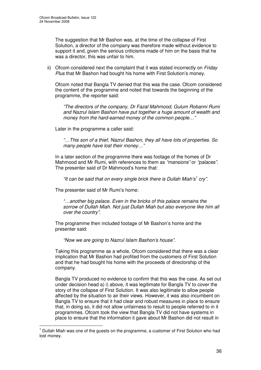The suggestion that Mr Bashon was, at the time of the collapse of First Solution, a director of the company was therefore made without evidence to support it and, given the serious criticisms made of him on the basis that he was a director, this was unfair to him.

ii) Ofcom considered next the complaint that it was stated incorrectly on *Friday Plus* that Mr Bashon had bought his home with First Solution's money.

Ofcom noted that Bangla TV denied that this was the case. Ofcom considered the content of the programme and noted that towards the beginning of the programme, the reporter said:

*"The directors of the company, Dr Fazal Mahmood, Gulum Robanni Rumi and Nazrul Islam Bashon have put together a huge amount of wealth and money from the hard-earned money of the common people…"*

Later in the programme a caller said:

*"…This son of a thief, Nazrul Bashon, they all have lots of properties. So many people have lost their money…"*

In a later section of the programme there was footage of the homes of Dr Mahmood and Mr Rumi, with references to them as *"mansions"* or *"palaces"*. The presenter said of Dr Mahmood's home that:

*"It can be said that on every single brick there is Dullah Miah's 1 cry"*.

The presenter said of Mr Rumi's home:

*"…another big palace. Even in the bricks of this palace remains the sorrow of Dullah Miah. Not just Dullah Miah but also everyone like him all over the country".*

The programme then included footage of Mr Bashon's home and the presenter said:

*"Now we are going to Nazrul Islam Bashon's house".*

Taking this programme as a whole, Ofcom considered that there was a clear implication that Mr Bashon had profited from the customers of First Solution and that he had bought his home with the proceeds of directorship of the company.

Bangla TV produced no evidence to confirm that this was the case. As set out under decision head a) i) above, it was legitimate for Bangla TV to cover the story of the collapse of First Solution. It was also legitimate to allow people affected by the situation to air their views. However, it was also incumbent on Bangla TV to ensure that it had clear and robust measures in place to ensure that, in doing so, it did not allow unfairness to result to people referred to in it programmes. Ofcom took the view that Bangla TV did not have systems in place to ensure that the information it gave about Mr Bashon did not result in

 $<sup>1</sup>$  Dullah Miah was one of the guests on the programme, a customer of First Solution who had</sup> lost money.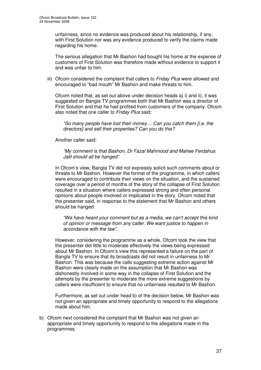unfairness, since no evidence was produced about his relationship, if any, with First Solution nor was any evidence produced to verify the claims made regarding his home.

The serious allegation that Mr Bashon had bought his home at the expense of customers of First Solution was therefore made without evidence to support it and was unfair to him.

iii) Ofcom considered the complaint that callers to *Friday Plus* were allowed and encouraged to "bad mouth" Mr Bashon and make threats to him.

Ofcom noted that, as set out above under decision heads a) i) and ii), it was suggested on Bangla TV programmes both that Mr Bashon was a director of First Solution and that he had profited from customers of the company. Ofcom also noted that one caller to *Friday Plus* said:

*"So many people have lost their money… Can you catch them [i.e. the directors] and sell their properties? Can you do this?*

Another caller said:

*"My comment is that Bashon, Dr Fazal Mahmood and Mahee Ferdahus Jalil should all be hanged".*

In Ofcom's view, Bangla TV did not expressly solicit such comments about or threats to Mr Bashon. However the format of the programme, in which callers were encouraged to contribute their views on the situation, and the sustained coverage over a period of months of the story of the collapse of First Solution resulted in a situation where callers expressed strong and often personal opinions about people involved or implicated in the story. Ofcom noted that the presenter said, in response to the statement that Mr Bashon and others should be hanged:

*"We have heard your comment but as a media, we can't accept this kind of opinion or message from any caller. We want justice to happen in accordance with the law".*

However, considering the programme as a whole, Ofcom took the view that the presenter did little to moderate effectively the views being expressed about Mr Bashon. In Ofcom's view this represented a failure on the part of Bangla TV to ensure that its broadcasts did not result in unfairness to Mr Bashon. This was because the calls suggesting extreme action against Mr Bashon were clearly made on the assumption that Mr Bashon was dishonestly involved in some way in the collapse of First Solution and the attempts by the presenter to moderate the more extreme suggestions by callers were insufficient to ensure that no unfairness resulted to Mr Bashon.

Furthermore, as set out under head b) of the decision below, Mr Bashon was not given an appropriate and timely opportunity to respond to the allegations made about him.

b) Ofcom next considered the complaint that Mr Bashon was not given an appropriate and timely opportunity to respond to the allegations made in the programmes.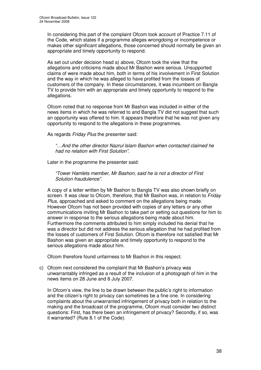In considering this part of the complaint Ofcom took account of Practice 7.11 of the Code, which states if a programme alleges wrongdoing or incompetence or makes other significant allegations, those concerned should normally be given an appropriate and timely opportunity to respond.

As set out under decision head a) above, Ofcom took the view that the allegations and criticisms made about Mr Bashon were serious. Unsupported claims of were made about him, both in terms of his involvement in First Solution and the way in which he was alleged to have profited from the losses of customers of the company. In these circumstances, it was incumbent on Bangla TV to provide him with an appropriate and timely opportunity to respond to the allegations.

Ofcom noted that no response from Mr Bashon was included in either of the news items in which he was referred to and Bangla TV did not suggest that such an opportunity was offered to him. It appears therefore that he was not given any opportunity to respond to the allegations in these programmes.

As regards *Friday Plus* the presenter said:

*"…And the other director Nazrul Islam Bashon when contacted claimed he had no relation with First Solution".*

Later in the programme the presenter said:

*"Tower Hamlets member, Mr Bashon, said he is not a director of First Solution fraudulence".*

A copy of a letter written by Mr Bashon to Bangla TV was also shown briefly on screen. It was clear to Ofcom, therefore, that Mr Bashon was, in relation to *Friday Plus*, approached and asked to comment on the allegations being made. However Ofcom has not been provided with copies of any letters or any other communications inviting Mr Bashon to take part or setting out questions for him to answer in response to the serious allegations being made about him. Furthermore the comments attributed to him simply included his denial that he was a director but did not address the serious allegation that he had profited from the losses of customers of First Solution. Ofcom is therefore not satisfied that Mr Bashon was given an appropriate and timely opportunity to respond to the serious allegations made about him.

Ofcom therefore found unfairness to Mr Bashon in this respect.

c) Ofcom next considered the complaint that Mr Bashon's privacy was unwarrantably infringed as a result of the inclusion of a photograph of him in the news items on 28 June and 8 July 2007.

In Ofcom's view, the line to be drawn between the public's right to information and the citizen's right to privacy can sometimes be a fine one. In considering complaints about the unwarranted infringement of privacy both in relation to the making and the broadcast of the programme, Ofcom must consider two distinct questions: First, has there been an infringement of privacy? Secondly, if so, was it warranted? (Rule 8.1 of the Code).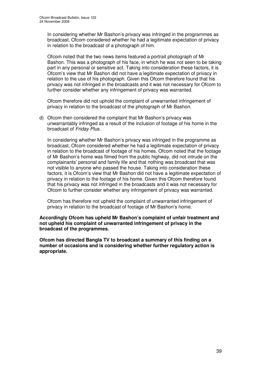In considering whether Mr Bashon's privacy was infringed in the programmes as broadcast, Ofcom considered whether he had a legitimate expectation of privacy in relation to the broadcast of a photograph of him.

Ofcom noted that the two news items featured a portrait photograph of Mr Bashon. This was a photograph of his face, in which he was not seen to be taking part in any personal or sensitive act. Taking into consideration these factors, it is Ofcom's view that Mr Bashon did not have a legitimate expectation of privacy in relation to the use of his photograph. Given this Ofcom therefore found that his privacy was not infringed in the broadcasts and it was not necessary for Ofcom to further consider whether any infringement of privacy was warranted.

Ofcom therefore did not uphold the complaint of unwarranted infringement of privacy in relation to the broadcast of the photograph of Mr Bashon.

d) Ofcom then considered the complaint that Mr Bashon's privacy was unwarrantably infringed as a result of the inclusion of footage of his home in the broadcast of *Friday Plus*.

In considering whether Mr Bashon's privacy was infringed in the programme as broadcast, Ofcom considered whether he had a legitimate expectation of privacy in relation to the broadcast of footage of his homes. Ofcom noted that the footage of Mr Bashon's home was filmed from the public highway, did not intrude on the complainants' personal and family life and that nothing was broadcast that was not visible to anyone who passed the house. Taking into consideration these factors, it is Ofcom's view that Mr Bashon did not have a legitimate expectation of privacy in relation to the footage of his home. Given this Ofcom therefore found that his privacy was not infringed in the broadcasts and it was not necessary for Ofcom to further consider whether any infringement of privacy was warranted.

Ofcom has therefore not upheld the complaint of unwarranted infringement of privacy in relation to the broadcast of footage of Mr Bashon's home.

## **Accordingly Ofcom has upheld Mr Bashon's complaint of unfair treatment and not upheld his complaint of unwarranted infringement of privacy in the broadcast of the programmes.**

**Ofcom has directed Bangla TV to broadcast a summary of this finding on a number of occasions and is considering whether further regulatory action is appropriate.**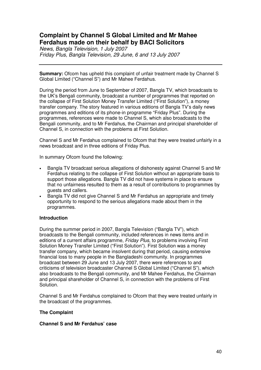# **Complaint by Channel S Global Limited and Mr Mahee Ferdahus made on their behalf by BACI Solicitors**

*News, Bangla Television, 1 July 2007 Friday Plus, Bangla Television, 29 June, 6 and 13 July 2007*

**Summary:** Ofcom has upheld this complaint of unfair treatment made by Channel S Global Limited ("Channel S") and Mr Mahee Ferdahus.

During the period from June to September of 2007, Bangla TV, which broadcasts to the UK's Bengali community, broadcast a number of programmes that reported on the collapse of First Solution Money Transfer Limited ("First Solution"), a money transfer company. The story featured in various editions of Bangla TV's daily news programmes and editions of its phone-in programme "Friday Plus". During the programmes, references were made to Channel S, which also broadcasts to the Bengali community, and to Mr Ferdahus, the Chairman and principal shareholder of Channel S, in connection with the problems at First Solution.

Channel S and Mr Ferdahus complained to Ofcom that they were treated unfairly in a news broadcast and in three editions of Friday Plus.

In summary Ofcom found the following:

- Bangla TV broadcast serious allegations of dishonesty against Channel S and Mr Ferdahus relating to the collapse of First Solution without an appropriate basis to support those allegations. Bangla TV did not have systems in place to ensure that no unfairness resulted to them as a result of contributions to programmes by guests and callers.
- Bangla TV did not give Channel S and Mr Ferdahus an appropriate and timely opportunity to respond to the serious allegations made about them in the programmes.

# **Introduction**

During the summer period in 2007, Bangla Television ("Bangla TV"), which broadcasts to the Bengali community, included references in news items and in editions of a current affairs programme, *Friday Plus*, to problems involving First Solution Money Transfer Limited ("First Solution"). First Solution was a money transfer company, which became insolvent during that period, causing extensive financial loss to many people in the Bangladeshi community. In programmes broadcast between 29 June and 13 July 2007, there were references to and criticisms of television broadcaster Channel S Global Limited ("Channel S"), which also broadcasts to the Bengali community, and Mr Mahee Ferdahus, the Chairman and principal shareholder of Channel S, in connection with the problems of First Solution.

Channel S and Mr Ferdahus complained to Ofcom that they were treated unfairly in the broadcast of the programmes.

#### **The Complaint**

#### **Channel S and Mr Ferdahus' case**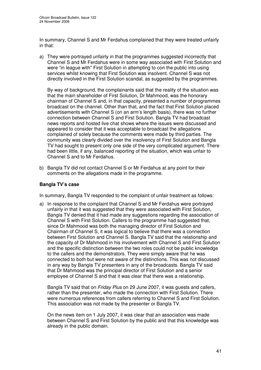In summary, Channel S and Mr Ferdahus complained that they were treated unfairly in that:

a) They were portrayed unfairly in that the programmes suggested incorrectly that Channel S and Mr Ferdahus were in some way associated with First Solution and were "in league with" First Solution in attempting to con the public into using services whilst knowing that First Solution was insolvent. Channel S was not directly involved in the First Solution scandal, as suggested by the programmes.

By way of background, the complainants said that the reality of the situation was that the main shareholder of First Solution, Dr Mahmood, was the honorary chairman of Channel S and, in that capacity, presented a number of programmes broadcast on the channel. Other than that, and the fact that First Solution placed advertisements with Channel S (on an arm's length basis), there was no further connection between Channel S and First Solution. Bangla TV had broadcast news reports and hosted live chat shows where the issues were discussed and appeared to consider that it was acceptable to broadcast the allegations complained of solely because the comments were made by third parties. The community was clearly divided over the insolvency of First Solution and Bangla TV had sought to present only one side of the very complicated argument. There had been little, if any, balanced reporting of the situation, which was unfair to Channel S and to Mr Ferdahus.

b) Bangla TV did not contact Channel S or Mr Ferdahus at any point for their comments on the allegations made in the programme.

# **Bangla TV's case**

In summary, Bangla TV responded to the complaint of unfair treatment as follows:

a) In response to the complaint that Channel S and Mr Ferdahus were portrayed unfairly in that it was suggested that they were associated with First Solution, Bangla TV denied that it had made any suggestions regarding the association of Channel S with First Solution. Callers to the programme had suggested that, since Dr Mahmood was both the managing director of First Solution and Chairman of Channel S, it was logical to believe that there was a connection between First Solution and Channel S. Bangla TV said that the relationship and the capacity of Dr Mahmood in his involvement with Channel S and First Solution and the specific distinction between the two roles could not be public knowledge to the callers and the demonstrators. They were simply aware that he was connected to both but were not aware of the distinctions. This was not discussed in any way by Bangla TV presenters in any of the broadcasts. Bangla TV said that Dr Mahmood was the principal director of First Solution and a senior employee of Channel S and that it was clear that there was a relationship.

Bangla TV said that on *Friday Plus* on 29 June 2007, it was guests and callers, rather than the presenter, who made the connection with First Solution. There were numerous references from callers referring to Channel S and First Solution. This association was not made by the presenter or Bangla TV.

On the news item on 1 July 2007, it was clear that an association was made between Channel S and First Solution by the public and that this knowledge was already in the public domain.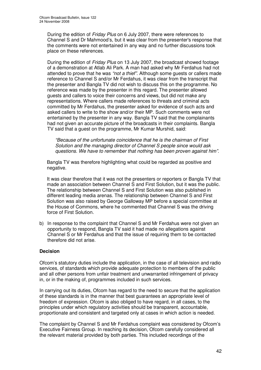During the edition of *Friday Plus* on 6 July 2007, there were references to Channel S and Dr Mahmood's, but it was clear from the presenter's response that the comments were not entertained in any way and no further discussions took place on these references.

During the edition of *Friday Plus* on 13 July 2007, the broadcast showed footage of a demonstration at Atlab Ali Park. A man had asked why Mr Ferdahus had not attended to prove that he was *"not a thief"*. Although some guests or callers made reference to Channel S and/or Mr Ferdahus, it was clear from the transcript that the presenter and Bangla TV did not wish to discuss this on the programme. No reference was made by the presenter in this regard. The presenter allowed guests and callers to voice their concerns and views, but did not make any representations. Where callers made references to threats and criminal acts committed by Mr Ferdahus, the presenter asked for evidence of such acts and asked callers to write to the show and/or their MP. Such comments were not entertained by the presenter in any way. Bangla TV said that the complainants had not given an accurate picture of the broadcasts in their complaints. Bangla TV said that a guest on the programme, Mr Kumar Murshid, said:

*"Because of the unfortunate coincidence that he is the chairman of First Solution and the managing director of Channel S people since would ask questions. We have to remember that nothing has been proven against him".*

Bangla TV was therefore highlighting what could be regarded as positive and negative.

It was clear therefore that it was not the presenters or reporters or Bangla TV that made an association between Channel S and First Solution, but it was the public. The relationship between Channel S and First Solution was also published in different leading media arenas. The relationship between Channel S and First Solution was also raised by George Galloway MP before a special committee at the House of Commons, where he commented that Channel S was the driving force of First Solution.

b) In response to the complaint that Channel S and Mr Ferdahus were not given an opportunity to respond, Bangla TV said it had made no allegations against Channel S or Mr Ferdahus and that the issue of requiring them to be contacted therefore did not arise.

# **Decision**

Ofcom's statutory duties include the application, in the case of all television and radio services, of standards which provide adequate protection to members of the public and all other persons from unfair treatment and unwarranted infringement of privacy in, or in the making of, programmes included in such services.

In carrying out its duties, Ofcom has regard to the need to secure that the application of these standards is in the manner that best guarantees an appropriate level of freedom of expression. Ofcom is also obliged to have regard, in all cases, to the principles under which regulatory activities should be transparent, accountable, proportionate and consistent and targeted only at cases in which action is needed.

The complaint by Channel S and Mr Ferdahus complaint was considered by Ofcom's Executive Fairness Group. In reaching its decision, Ofcom carefully considered all the relevant material provided by both parties. This included recordings of the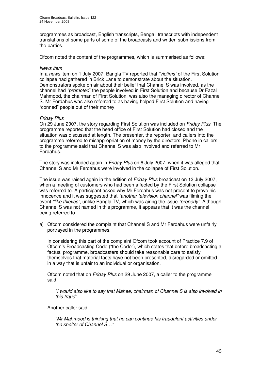programmes as broadcast, English transcripts, Bengali transcripts with independent translations of some parts of some of the broadcasts and written submissions from the parties.

Ofcom noted the content of the programmes, which is summarised as follows:

#### *News item*

In a *news* item on 1 July 2007, Bangla TV reported that *"victims"* of the First Solution collapse had gathered in Brick Lane to demonstrate about the situation. Demonstrators spoke on air about their belief that Channel S was involved, as the channel had *"promoted"* the people involved in First Solution and because Dr Fazal Mahmood, the chairman of First Solution, was also the managing director of Channel S. Mr Ferdahus was also referred to as having helped First Solution and having "conned" people out of their money.

# *Friday Plus*

On 29 June 2007, the story regarding First Solution was included on *Friday Plus*. The programme reported that the head office of First Solution had closed and the situation was discussed at length. The presenter, the reporter, and callers into the programme referred to misappropriation of money by the directors. Phone in callers to the programme said that Channel S was also involved and referred to Mr Ferdahus.

The story was included again in *Friday Plus* on 6 July 2007, when it was alleged that Channel S and Mr Ferdahus were involved in the collapse of First Solution.

The issue was raised again in the edition of *Friday Plus* broadcast on 13 July 2007, when a meeting of customers who had been affected by the First Solution collapse was referred to. A participant asked why Mr Ferdahus was not present to prove his innocence and it was suggested that *"another television channel"* was filming the event *"like thieves"*, unlike Bangla TV, which was airing the issue *"properly"*. Although Channel S was not named in this programme, it appears that it was the channel being referred to.

a) Ofcom considered the complaint that Channel S and Mr Ferdahus were unfairly portrayed in the programmes.

In considering this part of the complaint Ofcom took account of Practice 7.9 of Ofcom's Broadcasting Code ("the Code"), which states that before broadcasting a factual programme, broadcasters should take reasonable care to satisfy themselves that material facts have not been presented, disregarded or omitted in a way that is unfair to an individual or organisation.

Ofcom noted that on *Friday Plus* on 29 June 2007, a caller to the programme said:

*"I would also like to say that Mahee, chairman of Channel S is also involved in this fraud".*

Another caller said:

*"Mr Mahmood is thinking that he can continue his fraudulent activities under the shelter of Channel S…"*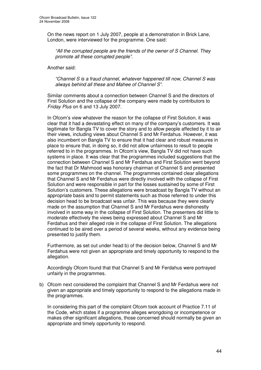On the news report on 1 July 2007, people at a demonstration in Brick Lane, London, were interviewed for the programme. One said:

*"All the corrupted people are the friends of the owner of S Channel. They promote all these corrupted people".*

Another said:

*"Channel S is a fraud channel, whatever happened till now, Channel S was always behind all these and Mahee of Channel S".*

Similar comments about a connection between Channel S and the directors of First Solution and the collapse of the company were made by contributors to *Friday Plus* on 6 and 13 July 2007.

In Ofcom's view whatever the reason for the collapse of First Solution, it was clear that it had a devastating effect on many of the company's customers. It was legitimate for Bangla TV to cover the story and to allow people affected by it to air their views, including views about Channel S and Mr Ferdahus. However, it was also incumbent on Bangla TV to ensure that it had clear and robust measures in place to ensure that, in doing so, it did not allow unfairness to result to people referred to in the programmes. In Ofcom's view, Bangla TV did not have such systems in place. It was clear that the programmes included suggestions that the connection between Channel S and Mr Ferdahus and First Solution went beyond the fact that Dr Mahmood was honorary chairman of Channel S and presented some programmes on the channel. The programmes contained clear allegations that Channel S and Mr Ferdahus were directly involved with the collapse of First Solution and were responsible in part for the losses sustained by some of First Solution's customers. These allegations were broadcast by Bangla TV without an appropriate basis and to permit statements such as those referred to under this decision head to be broadcast was unfair. This was because they were clearly made on the assumption that Channel S and Mr Ferdahus were dishonestly involved in some way in the collapse of First Solution. The presenters did little to moderate effectively the views being expressed about Channel S and Mr Ferdahus and their alleged role in the collapse of First Solution. The allegations continued to be aired over a period of several weeks, without any evidence being presented to justify them.

Furthermore, as set out under head b) of the decision below, Channel S and Mr Ferdahus were not given an appropriate and timely opportunity to respond to the allegation.

Accordingly Ofcom found that that Channel S and Mr Ferdahus were portrayed unfairly in the programmes.

b) Ofcom next considered the complaint that Channel S and Mr Ferdahus were not given an appropriate and timely opportunity to respond to the allegations made in the programmes.

In considering this part of the complaint Ofcom took account of Practice 7.11 of the Code, which states if a programme alleges wrongdoing or incompetence or makes other significant allegations, those concerned should normally be given an appropriate and timely opportunity to respond.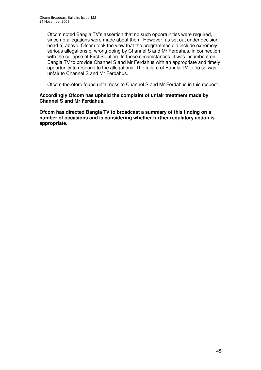Ofcom noted Bangla TV's assertion that no such opportunities were required, since no allegations were made about them. However, as set out under decision head a) above, Ofcom took the view that the programmes did include extremely serious allegations of wrong-doing by Channel S and Mr Ferdahus, in connection with the collapse of First Solution. In these circumstances, it was incumbent on Bangla TV to provide Channel S and Mr Ferdahus with an appropriate and timely opportunity to respond to the allegations. The failure of Bangla TV to do so was unfair to Channel S and Mr Ferdahus.

Ofcom therefore found unfairness to Channel S and Mr Ferdahus in this respect.

# **Accordingly Ofcom has upheld the complaint of unfair treatment made by Channel S and Mr Ferdahus.**

**Ofcom has directed Bangla TV to broadcast a summary of this finding on a number of occasions and is considering whether further regulatory action is appropriate.**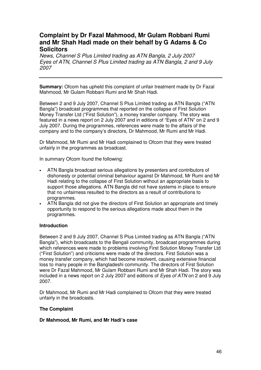# **Complaint by Dr Fazal Mahmood, Mr Gulam Robbani Rumi and Mr Shah Hadi made on their behalf by G Adams & Co Solicitors**

*News, Channel S Plus Limited trading as ATN Bangla, 2 July 2007 Eyes of ATN, Channel S Plus Limited trading as ATN Bangla, 2 and 9 July 2007*

**Summary:** Ofcom has upheld this complaint of unfair treatment made by Dr Fazal Mahmood, Mr Gulam Robbani Rumi and Mr Shah Hadi.

Between 2 and 9 July 2007, Channel S Plus Limited trading as ATN Bangla ("ATN Bangla") broadcast programmes that reported on the collapse of First Solution Money Transfer Ltd ("First Solution"), a money transfer company. The story was featured in a news report on 2 July 2007 and in editions of "Eyes of ATN" on 2 and 9 July 2007. During the programmes, references were made to the affairs of the company and to the company's directors, Dr Mahmood, Mr Rumi and Mr Hadi.

Dr Mahmood, Mr Rumi and Mr Hadi complained to Ofcom that they were treated unfairly in the programmes as broadcast.

In summary Ofcom found the following:

- ATN Bangla broadcast serious allegations by presenters and contributors of dishonesty or potential criminal behaviour against Dr Mahmood, Mr Rumi and Mr Hadi relating to the collapse of First Solution without an appropriate basis to support those allegations. ATN Bangla did not have systems in place to ensure that no unfairness resulted to the directors as a result of contributions to programmes.
- ATN Bangla did not give the directors of First Solution an appropriate and timely opportunity to respond to the serious allegations made about them in the programmes.

# **Introduction**

Between 2 and 9 July 2007, Channel S Plus Limited trading as ATN Bangla ("ATN Bangla"), which broadcasts to the Bengali community, broadcast programmes during which references were made to problems involving First Solution Money Transfer Ltd ("First Solution") and criticisms were made of the directors. First Solution was a money transfer company, which had become insolvent, causing extensive financial loss to many people in the Bangladeshi community. The directors of First Solution were Dr Fazal Mahmood, Mr Gulam Robbani Rumi and Mr Shah Hadi. The story was included in a news report on 2 July 2007 and editions of *Eyes of ATN* on 2 and 9 July 2007.

Dr Mahmood, Mr Rumi and Mr Hadi complained to Ofcom that they were treated unfairly in the broadcasts.

# **The Complaint**

# **Dr Mahmood, Mr Rumi, and Mr Hadi's case**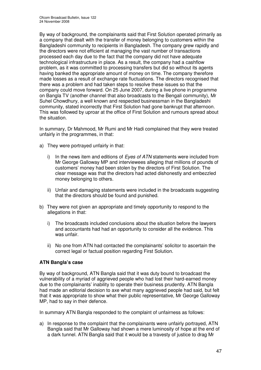By way of background, the complainants said that First Solution operated primarily as a company that dealt with the transfer of money belonging to customers within the Bangladeshi community to recipients in Bangladesh. The company grew rapidly and the directors were not efficient at managing the vast number of transactions processed each day due to the fact that the company did not have adequate technological infrastructure in place. As a result, the company had a cashflow problem, as it was committed to processing transfers but did so without its agents having banked the appropriate amount of money on time. The company therefore made losses as a result of exchange rate fluctuations. The directors recognised that there was a problem and had taken steps to resolve these issues so that the company could move forward. On 25 June 2007, during a live phone in programme on Bangla TV (another channel that also broadcasts to the Bengali community), Mr Suhel Chowdhury, a well known and respected businessman in the Bangladeshi community, stated incorrectly that First Solution had gone bankrupt that afternoon. This was followed by uproar at the office of First Solution and rumours spread about the situation.

In summary, Dr Mahmood, Mr Rumi and Mr Hadi complained that they were treated unfairly in the programmes, in that:

- a) They were portrayed unfairly in that:
	- i) In the news item and editions of *Eyes of ATN* statements were included from Mr George Galloway MP and interviewees alleging that millions of pounds of customers' money had been stolen by the directors of First Solution. The clear message was that the directors had acted dishonestly and embezzled money belonging to others.
	- ii) Unfair and damaging statements were included in the broadcasts suggesting that the directors should be found and punished.
- b) They were not given an appropriate and timely opportunity to respond to the allegations in that:
	- i) The broadcasts included conclusions about the situation before the lawyers and accountants had had an opportunity to consider all the evidence. This was unfair.
	- ii) No one from ATN had contacted the complainants' solicitor to ascertain the correct legal or factual position regarding First Solution.

# **ATN Bangla's case**

By way of background, ATN Bangla said that it was duty bound to broadcast the vulnerability of a myriad of aggrieved people who had lost their hard-earned money due to the complainants' inability to operate their business prudently. ATN Bangla had made an editorial decision to axe what many aggrieved people had said, but felt that it was appropriate to show what their public representative, Mr George Galloway MP, had to say in their defence.

In summary ATN Bangla responded to the complaint of unfairness as follows:

a) In response to the complaint that the complainants were unfairly portrayed, ATN Bangla said that Mr Galloway had shown a mere luminosity of hope at the end of a dark tunnel. ATN Bangla said that it would be a travesty of justice to drag Mr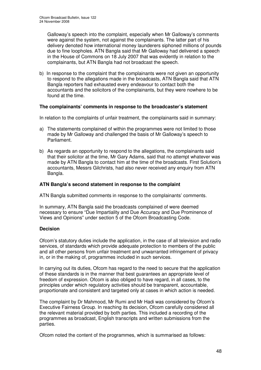Galloway's speech into the complaint, especially when Mr Galloway's comments were against the system, not against the complainants. The latter part of his delivery denoted how international money launderers siphoned millions of pounds due to fine loopholes. ATN Bangla said that Mr Galloway had delivered a speech in the House of Commons on 18 July 2007 that was evidently in relation to the complainants, but ATN Bangla had not broadcast the speech.

b) In response to the complaint that the complainants were not given an opportunity to respond to the allegations made in the broadcasts, ATN Bangla said that ATN Bangla reporters had exhausted every endeavour to contact both the accountants and the solicitors of the complainants, but they were nowhere to be found at the time.

# **The complainants' comments in response to the broadcaster's statement**

In relation to the complaints of unfair treatment, the complainants said in summary:

- a) The statements complained of within the programmes were not limited to those made by Mr Galloway and challenged the basis of Mr Galloway's speech to Parliament.
- b) As regards an opportunity to respond to the allegations, the complainants said that their solicitor at the time, Mr Gary Adams, said that no attempt whatever was made by ATN Bangla to contact him at the time of the broadcasts. First Solution's accountants, Messrs Gilchrists, had also never received any enquiry from ATN Bangla.

# **ATN Bangla's second statement in response to the complaint**

ATN Bangla submitted comments in response to the complainants' comments.

In summary, ATN Bangla said the broadcasts complained of were deemed necessary to ensure "Due Impartiality and Due Accuracy and Due Prominence of Views and Opinions" under section 5 of the Ofcom Broadcasting Code.

# **Decision**

Ofcom's statutory duties include the application, in the case of all television and radio services, of standards which provide adequate protection to members of the public and all other persons from unfair treatment and unwarranted infringement of privacy in, or in the making of, programmes included in such services.

In carrying out its duties, Ofcom has regard to the need to secure that the application of these standards is in the manner that best guarantees an appropriate level of freedom of expression. Ofcom is also obliged to have regard, in all cases, to the principles under which regulatory activities should be transparent, accountable, proportionate and consistent and targeted only at cases in which action is needed.

The complaint by Dr Mahmood, Mr Rumi and Mr Hadi was considered by Ofcom's Executive Fairness Group. In reaching its decision, Ofcom carefully considered all the relevant material provided by both parties. This included a recording of the programmes as broadcast, English transcripts and written submissions from the parties.

Ofcom noted the content of the programmes, which is summarised as follows: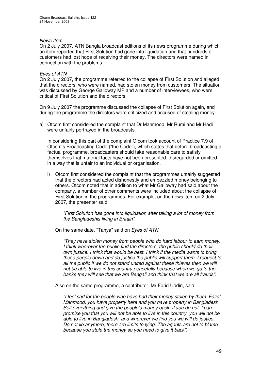## *News Item*

On 2 July 2007, ATN Bangla broadcast editions of its news programme during which an item reported that First Solution had gone into liquidation and that hundreds of customers had lost hope of receiving their money. The directors were named in connection with the problems.

## *Eyes of ATN*

On 2 July 2007, the programme referred to the collapse of First Solution and alleged that the directors, who were named, had stolen money from customers. The situation was discussed by George Galloway MP and a number of interviewees, who were critical of First Solution and the directors.

On 9 July 2007 the programme discussed the collapse of First Solution again, and during the programme the directors were criticized and accused of stealing money.

a) Ofcom first considered the complaint that Dr Mahmood, Mr Rumi and Mr Hadi were unfairly portrayed in the broadcasts.

In considering this part of the complaint Ofcom took account of Practice 7.9 of Ofcom's Broadcasting Code ("the Code"), which states that before broadcasting a factual programme, broadcasters should take reasonable care to satisfy themselves that material facts have not been presented, disregarded or omitted in a way that is unfair to an individual or organisation.

i) Ofcom first considered the complaint that the programmes unfairly suggested that the directors had acted dishonestly and embezzled money belonging to others. Ofcom noted that in addition to what Mr Galloway had said about the company, a number of other comments were included about the collapse of First Solution in the programmes. For example, on the news item on 2 July 2007, the presenter said:

*"First Solution has gone into liquidation after taking a lot of money from the Bangladeshis living in Britain".*

On the same date, "Tanya" said on *Eyes of ATN*:

*"They have stolen money from people who do hard labour to earn money. I think wherever the public find the directors, the public should do their own justice. I think that would be best. I think if the media wants to bring these people down and do justice the public will support them. I request to all the public if we do not stand united against these thieves then we will not be able to live in this country peacefully because when we go to the banks they will see that we are Bengali and think that we are all frauds".*

Also on the same programme, a contributor, Mr Forid Uddin, said:

*"I feel sad for the people who have had their money stolen by them. Fazal Mahmood, you have property here and you have property in Bangladesh. Sell everything and give the people's money back. If you do not, I can promise you that you will not be able to live in this country, you will not be able to live in Bangladesh, and wherever we find you we will do justice. Do not lie anymore, there are limits to lying. The agents are not to blame because you stole the money so you need to give it back".*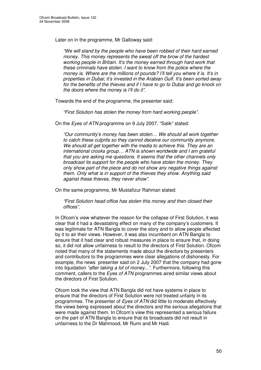Later on in the programme, Mr Galloway said:

*"We will stand by the people who have been robbed of their hard earned money. This money represents the sweat off the brow of the hardest working people in Britain. It's the money earned through hard work that these criminals have stolen. I want to know from the police where the money is. Where are the millions of pounds? I'll tell you where it is. It's in properties in Dubai; it's invested in the Arabian Gulf. It's been sorted away for the benefits of the thieves and if I have to go to Dubai and go knock on the doors where the money is I'll do it".*

Towards the end of the programme, the presenter said*:*

*"First Solution has stolen the money from hard working people".*

On the *Eyes of ATN* programme on 9 July 2007, "Salik" stated:

*"Our community's money has been stolen… We should all work together to catch these culprits so they cannot deceive our community anymore. We should all get together with the media to achieve this. They are an international crooks group… ATN is shown worldwide and I am grateful that you are asking me questions. It seems that the other channels only broadcast its support for the people who have stolen the money. They only show part of the piece and do not show any negative things against them. Only what is in support of the thieves they show. Anything said against these thieves, they never show".*

On the same programme, Mr Mustafizur Rahman stated:

*"First Solution head office has stolen this money and then closed their offices".*

In Ofcom's view whatever the reason for the collapse of First Solution, it was clear that it had a devastating effect on many of the company's customers. It was legitimate for ATN Bangla to cover the story and to allow people affected by it to air their views. However, it was also incumbent on ATN Bangla to ensure that it had clear and robust measures in place to ensure that, in doing so, it did not allow unfairness to result to the directors of First Solution. Ofcom noted that many of the statements made about the directors by presenters and contributors to the programmes were clear allegations of dishonesty. For example, the news presenter said on 2 July 2007 that the company had gone into liquidation *"after taking a lot of money..."*. Furthermore, following this comment, callers to the *Eyes of ATN* programmes aired similar views about the directors of First Solution.

Ofcom took the view that ATN Bangla did not have systems in place to ensure that the directors of First Solution were not treated unfairly in its programmes. The presenter of *Eyes of ATN* did little to moderate effectively the views being expressed about the directors and the serious allegations that were made against them. In Ofcom's view this represented a serious failure on the part of ATN Bangla to ensure that its broadcasts did not result in unfairness to the Dr Mahmood, Mr Rumi and Mr Hadi.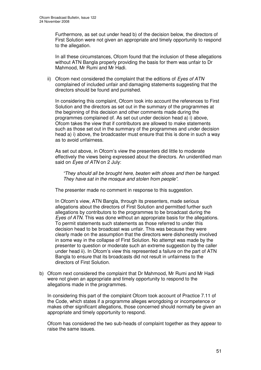Furthermore, as set out under head b) of the decision below, the directors of First Solution were not given an appropriate and timely opportunity to respond to the allegation.

In all these circumstances, Ofcom found that the inclusion of these allegations without ATN Bangla properly providing the basis for them was unfair to Dr Mahmood, Mr Rumi and Mr Hadi.

ii) Ofcom next considered the complaint that the editions of *Eyes of ATN* complained of included unfair and damaging statements suggesting that the directors should be found and punished.

In considering this complaint, Ofcom took into account the references to First Solution and the directors as set out in the summary of the programmes at the beginning of this decision and other comments made during the programmes complained of. As set out under decision head a) i) above, Ofcom takes the view that if contributors are allowed to make statements such as those set out in the summary of the programmes and under decision head a) i) above, the broadcaster must ensure that this is done in such a way as to avoid unfairness.

As set out above, in Ofcom's view the presenters did little to moderate effectively the views being expressed about the directors. An unidentified man said on *Eyes of ATN* on 2 July:

*"They should all be brought here, beaten with shoes and then be hanged. They have sat in the mosque and stolen from people".*

The presenter made no comment in response to this suggestion.

In Ofcom's view, ATN Bangla, through its presenters, made serious allegations about the directors of First Solution and permitted further such allegations by contributors to the programmes to be broadcast during the *Eyes of ATN*. This was done without an appropriate basis for the allegations. To permit statements such statements as those referred to under this decision head to be broadcast was unfair. This was because they were clearly made on the assumption that the directors were dishonestly involved in some way in the collapse of First Solution. No attempt was made by the presenter to question or moderate such an extreme suggestion by the caller under head ii). In Ofcom's view this represented a failure on the part of ATN Bangla to ensure that its broadcasts did not result in unfairness to the directors of First Solution.

b) Ofcom next considered the complaint that Dr Mahmood, Mr Rumi and Mr Hadi were not given an appropriate and timely opportunity to respond to the allegations made in the programmes.

In considering this part of the complaint Ofcom took account of Practice 7.11 of the Code, which states if a programme alleges wrongdoing or incompetence or makes other significant allegations, those concerned should normally be given an appropriate and timely opportunity to respond.

Ofcom has considered the two sub-heads of complaint together as they appear to raise the same issues.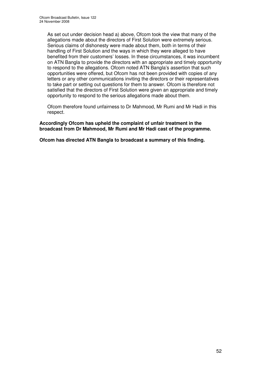As set out under decision head a) above, Ofcom took the view that many of the allegations made about the directors of First Solution were extremely serious. Serious claims of dishonesty were made about them, both in terms of their handling of First Solution and the ways in which they were alleged to have benefited from their customers' losses. In these circumstances, it was incumbent on ATN Bangla to provide the directors with an appropriate and timely opportunity to respond to the allegations. Ofcom noted ATN Bangla's assertion that such opportunities were offered, but Ofcom has not been provided with copies of any letters or any other communications inviting the directors or their representatives to take part or setting out questions for them to answer. Ofcom is therefore not satisfied that the directors of First Solution were given an appropriate and timely opportunity to respond to the serious allegations made about them.

Ofcom therefore found unfairness to Dr Mahmood, Mr Rumi and Mr Hadi in this respect.

**Accordingly Ofcom has upheld the complaint of unfair treatment in the broadcast from Dr Mahmood, Mr Rumi and Mr Hadi cast of the programme.**

**Ofcom has directed ATN Bangla to broadcast a summary of this finding.**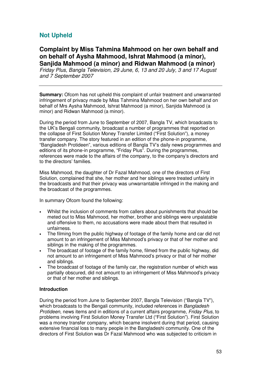# **Not Upheld**

**Complaint by Miss Tahmina Mahmood on her own behalf and on behalf of Aysha Mahmood, Ishrat Mahmood (a minor), Sanjida Mahmood (a minor) and Ridwan Mahmood (a minor)**

*Friday Plus, Bangla Television, 29 June, 6, 13 and 20 July, 3 and 17 August and 7 September 2007*

**Summary:** Ofcom has not upheld this complaint of unfair treatment and unwarranted infringement of privacy made by Miss Tahmina Mahmood on her own behalf and on behalf of Mrs Aysha Mahmood, Ishrat Mahmood (a minor), Sanjida Mahmood (a minor) and Ridwan Mahmood (a minor).

During the period from June to September of 2007, Bangla TV, which broadcasts to the UK's Bengali community, broadcast a number of programmes that reported on the collapse of First Solution Money Transfer Limited ("First Solution"), a money transfer company. The story featured in an edition of the phone-in programme, "Bangladesh Protideen", various editions of Bangla TV's daily news programmes and editions of its phone-in programme, "Friday Plus". During the programmes, references were made to the affairs of the company, to the company's directors and to the directors' families.

Miss Mahmood, the daughter of Dr Fazal Mahmood, one of the directors of First Solution, complained that she, her mother and her siblings were treated unfairly in the broadcasts and that their privacy was unwarrantable infringed in the making and the broadcast of the programmes.

In summary Ofcom found the following:

- Whilst the inclusion of comments from callers about punishments that should be meted out to Miss Mahmood, her mother, brother and siblings were unpalatable and offensive to them, no accusations were made about them that resulted in unfairness.
- The filming from the public highway of footage of the family home and car did not amount to an infringement of Miss Mahmood's privacy or that of her mother and siblings in the making of the programmes.
- The broadcast of footage of the family home, filmed from the public highway, did not amount to an infringement of Miss Mahmood's privacy or that of her mother and siblings.
- The broadcast of footage of the family car, the registration number of which was partially obscured, did not amount to an infringement of Miss Mahmood's privacy or that of her mother and siblings.

# **Introduction**

During the period from June to September 2007, Bangla Television ("Bangla TV"), which broadcasts to the Bengali community, included references in *Bangladesh Protideen*, news items and in editions of a current affairs programme, *Friday Plus,* to problems involving First Solution Money Transfer Ltd ("First Solution"). First Solution was a money transfer company, which became insolvent during that period, causing extensive financial loss to many people in the Bangladeshi community. One of the directors of First Solution was Dr Fazal Mahmood who was subjected to criticism in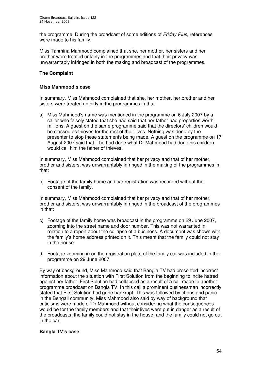the programme. During the broadcast of some editions of *Friday Plus*, references were made to his family.

Miss Tahmina Mahmood complained that she, her mother, her sisters and her brother were treated unfairly in the programmes and that their privacy was unwarrantably infringed in both the making and broadcast of the programmes.

# **The Complaint**

## **Miss Mahmood's case**

In summary, Miss Mahmood complained that she, her mother, her brother and her sisters were treated unfairly in the programmes in that:

a) Miss Mahmood's name was mentioned in the programme on 6 July 2007 by a caller who falsely stated that she had said that her father had properties worth millions. A guest on the same programme said that the directors' children would be classed as thieves for the rest of their lives. Nothing was done by the presenter to stop these statements being made. A guest on the programme on 17 August 2007 said that if he had done what Dr Mahmood had done his children would call him the father of thieves.

In summary, Miss Mahmood complained that her privacy and that of her mother, brother and sisters, was unwarrantably infringed in the making of the programmes in that:

b) Footage of the family home and car registration was recorded without the consent of the family.

In summary, Miss Mahmood complained that her privacy and that of her mother, brother and sisters, was unwarrantably infringed in the broadcast of the programmes in that:

- c) Footage of the family home was broadcast in the programme on 29 June 2007, zooming into the street name and door number. This was not warranted in relation to a report about the collapse of a business. A document was shown with the family's home address printed on it. This meant that the family could not stay in the house.
- d) Footage zooming in on the registration plate of the family car was included in the programme on 29 June 2007.

By way of background, Miss Mahmood said that Bangla TV had presented incorrect information about the situation with First Solution from the beginning to incite hatred against her father. First Solution had collapsed as a result of a call made to another programme broadcast on Bangla TV. In this call a prominent businessman incorrectly stated that First Solution had gone bankrupt. This was followed by chaos and panic in the Bengali community. Miss Mahmood also said by way of background that criticisms were made of Dr Mahmood without considering what the consequences would be for the family members and that their lives were put in danger as a result of the broadcasts; the family could not stay in the house; and the family could not go out in the car.

#### **Bangla TV's case**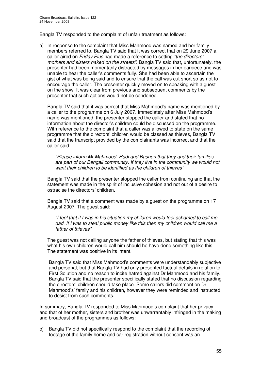Bangla TV responded to the complaint of unfair treatment as follows:

a) In response to the complaint that Miss Mahmood was named and her family members referred to, Bangla TV said that it was correct that on 29 June 2007 a caller aired on *Friday Plus* had made a reference to setting *"the directors' mothers and sisters naked on the streets"*. Bangla TV said that, unfortunately, the presenter had been momentarily distracted by messages in her earpiece and was unable to hear the caller's comments fully. She had been able to ascertain the gist of what was being said and to ensure that the call was cut short so as not to encourage the caller. The presenter quickly moved on to speaking with a guest on the show. It was clear from previous and subsequent comments by the presenter that such actions would not be condoned.

Bangla TV said that it was correct that Miss Mahmood's name was mentioned by a caller to the programme on 6 July 2007. Immediately after Miss Mahmood's name was mentioned, the presenter stopped the caller and stated that no information about the director's children could be discussed on the programme. With reference to the complaint that a caller was allowed to state on the same programme that the directors' children would be classed as thieves, Bangla TV said that the transcript provided by the complainants was incorrect and that the caller said:

*"Please inform Mr Mahmood, Hadi and Bashon that they and their families are part of our Bengali community. If they live in the community we would not want their children to be identified as the children of thieves"*

Bangla TV said that the presenter stopped the caller from continuing and that the statement was made in the spirit of inclusive cohesion and not out of a desire to ostracise the directors' children.

Bangla TV said that a comment was made by a guest on the programme on 17 August 2007. The guest said:

*"I feel that if I was in his situation my children would feel ashamed to call me dad. If I was to steal public money like this then my children would call me a father of thieves"*

The guest was not calling anyone the father of thieves, but stating that this was what his own children would call him should he have done something like this. The statement was positive in its intent.

Bangla TV said that Miss Mahmood's comments were understandably subjective and personal, but that Bangla TV had only presented factual details in relation to First Solution and no reason to incite hatred against Dr Mahmood and his family. Bangla TV said that the presenter specifically stated that no discussion regarding the directors' children should take place. Some callers did comment on Dr Mahmood's' family and his children, however they were reminded and instructed to desist from such comments.

In summary, Bangla TV responded to Miss Mahmood's complaint that her privacy and that of her mother, sisters and brother was unwarrantably infringed in the making and broadcast of the programmes as follows:

b) Bangla TV did not specifically respond to the complaint that the recording of footage of the family home and car registration without consent was an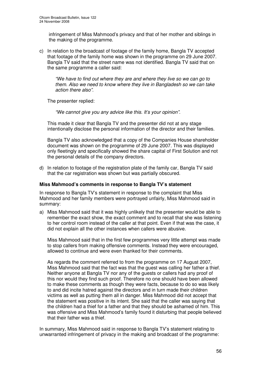infringement of Miss Mahmood's privacy and that of her mother and siblings in the making of the programme.

c) In relation to the broadcast of footage of the family home, Bangla TV accepted that footage of the family home was shown in the programme on 29 June 2007. Bangla TV said that the street name was not identified. Bangla TV said that on the same programme a caller said:

*"We have to find out where they are and where they live so we can go to them. Also we need to know where they live in Bangladesh so we can take action there also".*

The presenter replied:

*"We cannot give you any advice like this. It's your opinion".*

This made it clear that Bangla TV and the presenter did not at any stage intentionally disclose the personal information of the director and their families.

Bangla TV also acknowledged that a copy of the Companies House shareholder document was shown on the programme of 29 June 2007. This was displayed only fleetingly and specifically showed the share capital of First Solution and not the personal details of the company directors.

d) In relation to footage of the registration plate of the family car, Bangla TV said that the car registration was shown but was partially obscured.

## **Miss Mahmood's comments in response to Bangla TV's statement**

In response to Bangla TV's statement in response to the complaint that Miss Mahmood and her family members were portrayed unfairly, Miss Mahmood said in summary:

a) Miss Mahmood said that it was highly unlikely that the presenter would be able to remember the exact show, the exact comment and to recall that she was listening to her control room instead of the caller at that point. Even if that was the case, it did not explain all the other instances when callers were abusive.

Miss Mahmood said that in the first few programmes very little attempt was made to stop callers from making offensive comments. Instead they were encouraged, allowed to continue and were even thanked for their comments.

As regards the comment referred to from the programme on 17 August 2007, Miss Mahmood said that the fact was that the guest was calling her father a thief. Neither anyone at Bangla TV nor any of the guests or callers had any proof of this nor would they find such proof. Therefore no one should have been allowed to make these comments as though they were facts, because to do so was likely to and did incite hatred against the directors and in turn made their children victims as well as putting them all in danger. Miss Mahmood did not accept that the statement was positive in its intent. She said that the caller was saying that the children had a thief for a father and that they should be ashamed of him. This was offensive and Miss Mahmood's family found it disturbing that people believed that their father was a thief.

In summary, Miss Mahmood said in response to Bangla TV's statement relating to unwarranted infringement of privacy in the making and broadcast of the programme: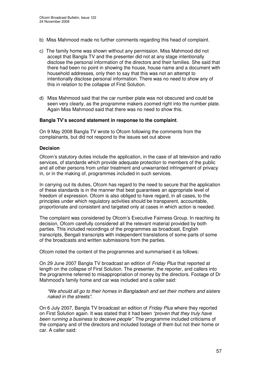- b) Miss Mahmood made no further comments regarding this head of complaint.
- c) The family home was shown without any permission. Miss Mahmood did not accept that Bangla TV and the presenter did not at any stage intentionally disclose the personal information of the directors and their families. She said that there had been no point in showing the house, house name and a document with household addresses, only then to say that this was not an attempt to intentionally disclose personal information. There was no need to show any of this in relation to the collapse of First Solution.
- d) Miss Mahmood said that the car number plate was not obscured and could be seen very clearly, as the programme makers zoomed right into the number plate. Again Miss Mahmood said that there was no need to show this.

#### **Bangla TV's second statement in response to the complaint***.*

On 9 May 2008 Bangla TV wrote to Ofcom following the comments from the complainants, but did not respond to the issues set out above

#### **Decision**

Ofcom's statutory duties include the application, in the case of all television and radio services, of standards which provide adequate protection to members of the public and all other persons from unfair treatment and unwarranted infringement of privacy in, or in the making of, programmes included in such services.

In carrying out its duties, Ofcom has regard to the need to secure that the application of these standards is in the manner that best guarantees an appropriate level of freedom of expression. Ofcom is also obliged to have regard, in all cases, to the principles under which regulatory activities should be transparent, accountable, proportionate and consistent and targeted only at cases in which action is needed.

The complaint was considered by Ofcom's Executive Fairness Group. In reaching its decision, Ofcom carefully considered all the relevant material provided by both parties. This included recordings of the programmes as broadcast, English transcripts, Bengali transcripts with independent translations of some parts of some of the broadcasts and written submissions from the parties.

Ofcom noted the content of the programmes and summarised it as follows:

On 29 June 2007 Bangla TV broadcast an edition of *Friday Plus* that reported at length on the collapse of First Solution. The presenter, the reporter, and callers into the programme referred to misappropriation of money by the directors. Footage of Dr Mahmood's family home and car was included and a caller said:

*"We should all go to their homes in Bangladesh and set their mothers and sisters naked in the streets"*.

On 6 July 2007, Bangla TV broadcast an edition of *Friday Plus* where they reported on First Solution again. It was stated that it had been *"proven that they truly have been running a business to deceive people".* The programme included criticisms of the company and of the directors and included footage of them but not their home or car. A caller said: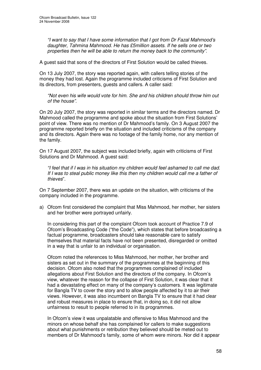*"I want to say that I have some information that I got from Dr Fazal Mahmood's daughter, Tahmina Mahmood. He has £5million assets. If he sells one or two properties then he will be able to return the money back to the community"*.

A guest said that sons of the directors of First Solution would be called thieves.

On 13 July 2007, the story was reported again, with callers telling stories of the money they had lost. Again the programme included criticisms of First Solution and its directors, from presenters, guests and callers. A caller said:

*"Not even his wife would vote for him. She and his children should throw him out of the house"*.

On 20 July 2007, the story was reported in similar terms and the directors named. Dr Mahmood called the programme and spoke about the situation from First Solutions' point of view. There was no mention of Dr Mahmood's family. On 3 August 2007 the programme reported briefly on the situation and included criticisms of the company and its directors. Again there was no footage of the family home, nor any mention of the family.

On 17 August 2007, the subject was included briefly, again with criticisms of First Solutions and Dr Mahmood. A guest said:

*"I feel that if I was in his situation my children would feel ashamed to call me dad. If I was to steal public money like this then my children would call me a father of thieves*".

On 7 September 2007, there was an update on the situation, with criticisms of the company included in the programme.

a) Ofcom first considered the complaint that Miss Mahmood, her mother, her sisters and her brother were portrayed unfairly.

In considering this part of the complaint Ofcom took account of Practice 7.9 of Ofcom's Broadcasting Code ("the Code"), which states that before broadcasting a factual programme, broadcasters should take reasonable care to satisfy themselves that material facts have not been presented, disregarded or omitted in a way that is unfair to an individual or organisation.

Ofcom noted the references to Miss Mahmood, her mother, her brother and sisters as set out in the summary of the programmes at the beginning of this decision. Ofcom also noted that the programmes complained of included allegations about First Solution and the directors of the company. In Ofcom's view, whatever the reason for the collapse of First Solution, it was clear that it had a devastating effect on many of the company's customers. It was legitimate for Bangla TV to cover the story and to allow people affected by it to air their views. However, it was also incumbent on Bangla TV to ensure that it had clear and robust measures in place to ensure that, in doing so, it did not allow unfairness to result to people referred to in its programmes.

In Ofcom's view it was unpalatable and offensive to Miss Mahmood and the minors on whose behalf she has complained for callers to make suggestions about what punishments or retribution they believed should be meted out to members of Dr Mahmood's family, some of whom were minors. Nor did it appear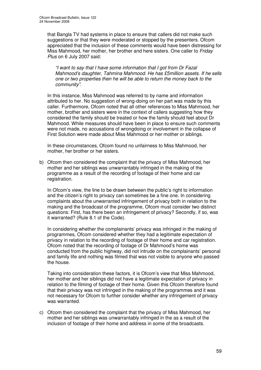that Bangla TV had systems in place to ensure that callers did not make such suggestions or that they were moderated or stopped by the presenters. Ofcom appreciated that the inclusion of these comments would have been distressing for Miss Mahmood, her mother, her brother and here sisters. One caller to *Friday Plus* on 6 July 2007 said:

*"I want to say that I have some information that I got from Dr Fazal Mahmood's daughter, Tahmina Mahmood. He has £5million assets. If he sells one or two properties then he will be able to return the money back to the community"*.

In this instance, Miss Mahmood was referred to by name and information attributed to her. No suggestion of wrong-doing on her part was made by this caller. Furthermore, Ofcom noted that all other references to Miss Mahmood, her mother, brother and sisters were in the context of callers suggesting how they considered the family should be treated or how the family should feel about Dr Mahmood. While measures should have been in place to ensure such comments were not made, no accusations of wrongdoing or involvement in the collapse of First Solution were made about Miss Mahmood or her mother or siblings.

In these circumstances, Ofcom found no unfairness to Miss Mahmood, her mother, her brother or her sisters.

b) Ofcom then considered the complaint that the privacy of Miss Mahmood, her mother and her siblings was unwarrantably infringed in the making of the programme as a result of the recording of footage of their home and car registration.

In Ofcom's view, the line to be drawn between the public's right to information and the citizen's right to privacy can sometimes be a fine one. In considering complaints about the unwarranted infringement of privacy both in relation to the making and the broadcast of the programme, Ofcom must consider two distinct questions: First, has there been an infringement of privacy? Secondly, if so, was it warranted? (Rule 8.1 of the Code).

In considering whether the complainants' privacy was infringed in the making of programmes, Ofcom considered whether they had a legitimate expectation of privacy in relation to the recording of footage of their home and car registration. Ofcom noted that the recording of footage of Dr Mahmood's home was conducted from the public highway, did not intrude on the complainants' personal and family life and nothing was filmed that was not visible to anyone who passed the house.

Taking into consideration these factors, it is Ofcom's view that Miss Mahmood, her mother and her siblings did not have a legitimate expectation of privacy in relation to the filming of footage of their home. Given this Ofcom therefore found that their privacy was not infringed in the making of the programmes and it was not necessary for Ofcom to further consider whether any infringement of privacy was warranted.

c) Ofcom then considered the complaint that the privacy of Miss Mahmood, her mother and her siblings was unwarrantably infringed in the as a result of the inclusion of footage of their home and address in some of the broadcasts.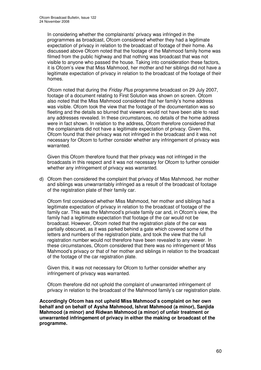In considering whether the complainants' privacy was infringed in the programmes as broadcast, Ofcom considered whether they had a legitimate expectation of privacy in relation to the broadcast of footage of their home. As discussed above Ofcom noted that the footage of the Mahmood family home was filmed from the public highway and that nothing was broadcast that was not visible to anyone who passed the house. Taking into consideration these factors, it is Ofcom's view that Miss Mahmood, her mother and her siblings did not have a legitimate expectation of privacy in relation to the broadcast of the footage of their homes.

Ofcom noted that during the *Friday Plus* programme broadcast on 29 July 2007, footage of a document relating to First Solution was shown on screen. Ofcom also noted that the Miss Mahmood considered that her family's home address was visible. Ofcom took the view that the footage of the documentation was so fleeting and the details so blurred that viewers would not have been able to read any addresses revealed. In these circumstances, no details of the home address were in fact shown. In relation to the address, Ofcom therefore considered that the complainants did not have a legitimate expectation of privacy. Given this, Ofcom found that their privacy was not infringed in the broadcast and it was not necessary for Ofcom to further consider whether any infringement of privacy was warranted.

Given this Ofcom therefore found that their privacy was not infringed in the broadcasts in this respect and it was not necessary for Ofcom to further consider whether any infringement of privacy was warranted.

d) Ofcom then considered the complaint that privacy of Miss Mahmood, her mother and siblings was unwarrantably infringed as a result of the broadcast of footage of the registration plate of their family car.

Ofcom first considered whether Miss Mahmood, her mother and siblings had a legitimate expectation of privacy in relation to the broadcast of footage of the family car. This was the Mahmood's private family car and, in Ofcom's view, the family had a legitimate expectation that footage of the car would not be broadcast. However, Ofcom noted that the registration plate of the car was partially obscured, as it was parked behind a gate which covered some of the letters and numbers of the registration plate, and took the view that the full registration number would not therefore have been revealed to any viewer. In these circumstances, Ofcom considered that there was no infringement of Miss Mahmood's privacy or that of her mother and siblings in relation to the broadcast of the footage of the car registration plate.

Given this, it was not necessary for Ofcom to further consider whether any infringement of privacy was warranted.

Ofcom therefore did not uphold the complaint of unwarranted infringement of privacy in relation to the broadcast of the Mahmood family's car registration plate.

**Accordingly Ofcom has not upheld Miss Mahmood's complaint on her own behalf and on behalf of Aysha Mahmood, Ishrat Mahmood (a minor), Sanjida Mahmood (a minor) and Ridwan Mahmood (a minor) of unfair treatment or unwarranted infringement of privacy in either the making or broadcast of the programme.**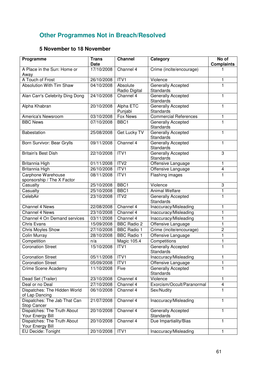# **Other Programmes Not in Breach/Resolved**

# **5 November to 18 November**

| Programme                                          | <b>Trans</b><br>Date | <b>Channel</b>            | Category                                      | No of<br><b>Complaints</b> |
|----------------------------------------------------|----------------------|---------------------------|-----------------------------------------------|----------------------------|
| A Place in the Sun: Home or<br>Away                | 17/10/2008           | Channel $4$               | Crime (incite/encourage)                      |                            |
| A Touch of Frost                                   | 26/10/2008           | ITV1                      | Violence                                      | 1                          |
| <b>Absolution With Tim Shaw</b>                    | 04/10/2008           | Absolute<br>Radio Digital | Generally Accepted<br>Standards               | 1                          |
| Alan Carr's Celebrity Ding Dong                    | 24/10/2008           | Channel 4                 | Generally Accepted<br><b>Standards</b>        | 1                          |
| Alpha Khabran                                      | 20/10/2008           | Alpha ETC<br>Punjabi      | Generally Accepted<br><b>Standards</b>        | 1                          |
| America's Newsroom                                 | 03/10/2008           | <b>Fox News</b>           | <b>Commercial References</b>                  | 1                          |
| <b>BBC News</b>                                    | 07/10/2008           | BBC1                      | Generally Accepted<br>Standards               | 1                          |
| Babestation                                        | 25/08/2008           | Get Lucky TV              | Generally Accepted<br>Standards               | 1                          |
| Born Survivor: Bear Grylls                         | 09/11/2008           | Channel 4                 | Generally Accepted<br>Standards               | 1                          |
| <b>Britain's Best Dish</b>                         | 22/10/2008           | ITVI                      | Generally Accepted<br>Standards               | 3                          |
| Britannia High                                     | 01/11/2008           | ITV <sub>2</sub>          | Offensive Language                            | 1                          |
| Britannia High                                     | 26/10/2008           | ITV1                      | Offensive Language                            | $\overline{\mathbf{4}}$    |
| Carphone Warehouse<br>sponsorship / The X Factor   | 08/11/2008           | ITV1                      | Flashing images                               | 1                          |
| Casualty                                           | 25/10/2008           | BBC1                      | Violence                                      | 3                          |
| Casualty                                           | 25/10/2008           | BBC1                      | <b>Animal Welfare</b>                         | 1                          |
| CelebAir                                           | 23/10/2008           | ITV <sub>2</sub>          | Generally Accepted<br>Standards               | 1                          |
| Channel 4 News                                     | 22/08/2008           | Channel 4                 | Inaccuracy/Misleading                         | 1                          |
| Channel 4 News                                     | 23/10/2008           | Channel 4                 | Inaccuracy/Misleading                         | 1                          |
| Channel 4 On Demand services                       | 03/11/2008           | Channel 4                 | Inaccuracy/Misleading                         | 1                          |
| <b>Chris Evans</b>                                 | 15/09/2008           | <b>BBC Radio 2</b>        | Offensive Language                            | 1                          |
| <b>Chris Moyles Show</b>                           | 27/10/2008           | <b>BBC Radio 1</b>        | Crime (incite/encourage)                      | $\overline{c}$             |
| <b>Colin Murray</b>                                | 28/10/2008           | <b>BBC Radio 1</b>        | Offensive Language                            | 1                          |
| Competition                                        | n/a                  | Magic 105.4               | Competitions                                  | 1                          |
| <b>Coronation Street</b>                           | 15/10/2008           | ITV1                      | <b>Generally Accepted</b><br><b>Standards</b> | 1                          |
| Coronation Street                                  | 05/11/2008           | ITV1                      | Inaccuracy/Misleading                         | 1                          |
| <b>Coronation Street</b>                           | 05/09/2008           | ITV1                      | Offensive Language                            | 1                          |
| Crime Scene Academy                                | 11/10/2008           | Five                      | Generally Accepted<br>Standards               | 1                          |
| Dead Set (Trailer)                                 | 23/10/2008           | Channel 4                 | Violence                                      | $\mathbf{1}$               |
| Deal or no Deal                                    | 27/10/2008           | Channel 4                 | Exorcism/Occult/Paranormal                    | 4                          |
| Dispatches: The Hidden World<br>of Lap Dancing     | 06/10/2008           | Channel 4                 | Sex/Nudity                                    | 1                          |
| Dispatches: The Jab That Can<br><b>Stop Cancer</b> | 21/07/2008           | Channel 4                 | Inaccuracy/Misleading                         | 1                          |
| Dispatches: The Truth About<br>Your Energy Bill    | 20/10/2008           | Channel 4                 | Generally Accepted<br><b>Standards</b>        | $\mathbf{1}$               |
| Dispatches: The Truth About<br>Your Energy Bill    | 20/10/2008           | Channel 4                 | Due Impartiality/Bias                         | 1                          |
| EU Decide: Tonight                                 | 20/10/2008           | ITV <sub>1</sub>          | Inaccuracy/Misleading                         | $\mathbf{1}$               |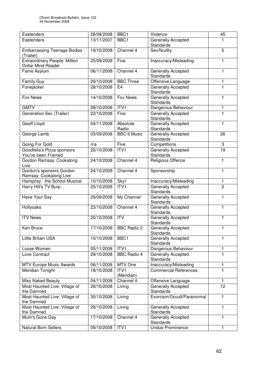| Eastenders                                                 | 28/08/2008 | BBC <sub>1</sub>   | Violence                                      | 45             |
|------------------------------------------------------------|------------|--------------------|-----------------------------------------------|----------------|
| Eastenders                                                 | 13/11/2007 | BBC <sub>1</sub>   | Generally Accepted                            | 1              |
|                                                            |            |                    | <b>Standards</b>                              |                |
| <b>Embarrassing Teenage Bodies</b>                         | 19/10/2008 | Channel 4          | Sex/Nudity                                    | 5              |
| (Trailer)                                                  |            |                    |                                               |                |
| Extraordinary People: Million<br><b>Dollar Mind Reader</b> | 25/09/2008 | Five               | Inaccuracy/Misleading                         | 1              |
| Fame Asylum                                                | 06/11/2008 | Channel 4          | Generally Accepted                            | 1              |
|                                                            |            |                    | <b>Standards</b>                              |                |
| <b>Family Guy</b>                                          | 29/10/2008 | <b>BBC Three</b>   | Offensive Language                            | 1              |
| Fonejacker                                                 | 28/10/2008 | E <sub>4</sub>     | Generally Accepted<br><b>Standards</b>        | 1              |
| Fox News                                                   | 14/10/2008 | Fox News           | Generally Accepted<br><b>Standards</b>        | 1              |
| <b>GMTV</b>                                                | 28/10/2008 | ITVI               | Dangerous Behaviour                           | 1              |
|                                                            |            |                    |                                               |                |
| Generation Sex (Trailer)                                   | 22/10/2008 | Five               | Generally Accepted<br><b>Standards</b>        | 1              |
| Geoff Lloyd                                                | 04/11/2008 | Absolute           | Generally Accepted                            | 1              |
|                                                            |            | Radio              | <b>Standards</b>                              |                |
| George Lamb                                                | 03/09/2008 | <b>BBC 6 Music</b> | Generally Accepted                            | 26             |
|                                                            |            |                    | <b>Standards</b>                              |                |
| Going For Gold                                             | n/a        | Five               | Competitions                                  | 3              |
| Goodfella's Pizza sponsors                                 | 25/10/2008 | ITV1               | Generally Accepted                            | 19             |
| You've been Framed                                         |            |                    | <b>Standards</b>                              |                |
| Gordon Ramsay: Cookalong<br>Live                           | 24/10/2008 | Channel 4          | Religious Offence                             | 1              |
| Gordon's sponsors Gordon                                   | 24/10/2008 | Channel 4          | Sponsorship                                   | 1              |
| Ramsay: Cookalong Live                                     |            |                    |                                               |                |
| Hairspray - the School Musical                             | 10/10/2008 | Sky <sup>1</sup>   | Inaccuracy/Misleading                         | 1              |
| Harry Hill's TV Burp                                       | 25/10/2008 | ITV1               | Generally Accepted<br><b>Standards</b>        | $\overline{2}$ |
| Have Your Say                                              | 29/09/2008 | My Channel         | Generally Accepted                            | 1              |
|                                                            |            |                    | <b>Standards</b>                              |                |
| Hollyoaks                                                  | 23/10/2008 | Channel 4          | <b>Generally Accepted</b>                     | 1              |
| <b>ITV News</b>                                            |            | $\overline{ITV}$   | <b>Standards</b><br><b>Generally Accepted</b> | 1              |
|                                                            | 20/10/2008 |                    | <b>Standards</b>                              |                |
| Ken Bruce                                                  | 17/10/2008 | <b>BBC Radio 2</b> | Generally Accepted                            | 1              |
|                                                            |            |                    | <b>Standards</b>                              |                |
| Little Britain USA                                         | 10/10/2008 | BBC1               | <b>Generally Accepted</b>                     | 1              |
|                                                            |            |                    | <b>Standards</b>                              |                |
| Loose Women                                                | 05/11/2008 | ITV1               | Dangerous Behaviour                           | 1              |
| Love Contract                                              | 29/10/2008 | <b>BBC Radio 4</b> | <b>Generally Accepted</b>                     | 1              |
|                                                            |            |                    | <b>Standards</b>                              |                |
| <b>MTV Europe Music Awards</b>                             | 06/11/2008 | MTV One            | Inaccuracy/Misleading                         | 1              |
| Meridian Tonight                                           | 18/10/2008 | ITV <sub>1</sub>   | <b>Commercial References</b>                  | 1              |
|                                                            |            | (Meridian)         |                                               |                |
| <b>Miss Naked Beauty</b>                                   | 04/11/2008 | Channel 4          | Offensive Language                            | 1              |
| Most Haunted Live: Village of                              | 26/10/2008 | Living             | <b>Generally Accepted</b>                     | 12             |
| the Damned                                                 |            |                    | <b>Standards</b>                              |                |
| Most Haunted Live: Village of<br>the Damned                | 30/10/2008 | Living             | Exorcism/Occult/Paranormal                    | 1              |
| Most Haunted Live: Village of                              | 28/10/2008 | Living             | Generally Accepted                            | 1              |
| the Damned                                                 |            |                    | <b>Standards</b>                              |                |
| Mum's Gone Gay                                             | 17/10/2008 | Channel 4          | Generally Accepted                            | 1              |
|                                                            |            |                    | <b>Standards</b>                              |                |
| Natural Born Sellers                                       | 09/10/2008 | ITV1               | <b>Undue Prominence</b>                       | 1              |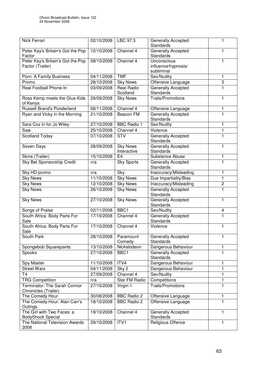| Nick Ferrari                                           | 02/10/2008              | LBC 97.3                       | Generally Accepted<br><b>Standards</b>           | 1                       |
|--------------------------------------------------------|-------------------------|--------------------------------|--------------------------------------------------|-------------------------|
| Peter Kay's Britain's Got the Pop<br>Factor            | 12/10/2008              | Channel 4                      | Generally Accepted<br>Standards                  | 1                       |
| Peter Kay's Britain's Got the Pop<br>Factor (Trailer)  | 08/10/2008              | Channel 4                      | Unconscious<br>influence/hypnosis/<br>subliminal | 1                       |
| Porn: A Family Business                                | 04/11/2008              | <b>TMF</b>                     | Sex/Nudity                                       | 1                       |
| Promo                                                  | 28/10/2008              | <b>Sky News</b>                | Offensive Language                               | 3                       |
| Real Football Phone-In                                 | 03/09/2008              | <b>Real Radio</b><br>Scotland  | <b>Generally Accepted</b><br>Standards           | 1                       |
| Ross Kemp meets the Glue Kids<br>of Kenya              | 29/09/2008              | <b>Sky News</b>                | <b>Trails/Promotions</b>                         | $\mathbf{1}$            |
| <b>Russell Brand's Ponderland</b>                      | 06/11/2008              | Channel 4                      | Offensive Language                               | 1                       |
| Ryan and Vicky in the Morning                          | 21/10/2008              | Beacon FM                      | Generally Accepted<br>Standards                  | 1                       |
| Sara Cox in for Jo Wiley                               | 27/10/2008              | <b>BBC Radio 1</b>             | Sex/Nudity                                       | $\mathbf{1}$            |
| Saw                                                    | 25/10/2008              | Channel 4                      | Violence                                         | 1                       |
| <b>Scotland Today</b>                                  | 07/10/2008              | <b>STV</b>                     | Generally Accepted<br>Standards                  | 1                       |
| Seven Days                                             | 28/09/2008              | <b>Sky News</b><br>Interactive | Generally Accepted<br>Standards                  | 1                       |
| Skins (Trailer)                                        | 15/10/2008              | E <sub>4</sub>                 | Substance Abuse                                  | 1                       |
| <b>Sky Bet Sponsorship Credit</b>                      | n/a                     | <b>Sky Sports</b>              | Generally Accepted<br>Standards                  | $\mathbf{1}$            |
| Sky HD promo                                           | n/a                     | Sky                            | Inaccuracy/Misleading                            | 1                       |
| <b>Sky News</b>                                        | 11/10/2008              | <b>Sky News</b>                | Due Impartiality/Bias                            | $\mathbf{1}$            |
| <b>Sky News</b>                                        | 12/10/2008              | <b>Sky News</b>                | Inaccuracy/Misleading                            | $\overline{\mathbf{c}}$ |
| <b>Sky News</b>                                        | 26/10/2008              | <b>Sky News</b>                | Generally Accepted<br>Standards                  | $\overline{1}$          |
| <b>Sky News</b>                                        | 27/10/2008              | <b>Sky News</b>                | Generally Accepted<br>Standards                  | 1                       |
| Songs of Praise                                        | 02/11/2008              | BBC <sub>1</sub>               | Sex/Nudity                                       | 4                       |
| South Africa: Body Parts For<br>Sale                   | $\frac{17}{17}$ 10/2008 | Channel $4$                    | Generally Accepted<br>Standards                  | $\overline{1}$          |
| South Africa: Body Parts For<br>Sale                   | 17/10/2008              | Channel 4                      | Violence                                         | 1                       |
| South Park                                             | 28/10/2008              | Paramount<br>Comedy            | Generally Accepted<br>Standards                  | 1                       |
| Spongebob Squarepants                                  | 13/10/2008              | Nickelodeon                    | Dangerous Behaviour                              | 1                       |
| Spooks                                                 | 27/10/2008              | BBC1                           | Generally Accepted<br>Standards                  | 1                       |
| Spy Master                                             | 11/10/2008              | ITV4                           | Dangerous Behaviour                              | 1                       |
| <b>Street Wars</b>                                     | 04/11/2008              | Sky 2                          | Dangerous Behaviour                              | 1                       |
| Τ4                                                     | 27/09/2008              | Channel 4                      | Sex/Nudity                                       | 1                       |
| <b>TRG Competition</b>                                 | n/a                     | Star FM Radio                  | Competitions                                     | 1                       |
| Terminator: The Sarah Connor<br>Chronicles (Trailer)   | 27/10/2008              | Virgin 1                       | <b>Trails/Promotions</b>                         | 1                       |
| The Comedy Hour                                        | 30/08/2008              | <b>BBC Radio 2</b>             | Offensive Language                               | 1                       |
| The Comedy Hour: Alan Carr's<br>Outings                | 18/10/2008              | <b>BBC Radio 2</b>             | Offensive Language                               | 1                       |
| The Girl with Two Faces: a<br><b>BodyShock Special</b> | 19/10/2008              | Channel 4                      | Generally Accepted<br>Standards                  | 1                       |
| The National Television Awards<br>2008                 | 29/10/2008              | ITV1                           | Religious Offence                                | 1                       |